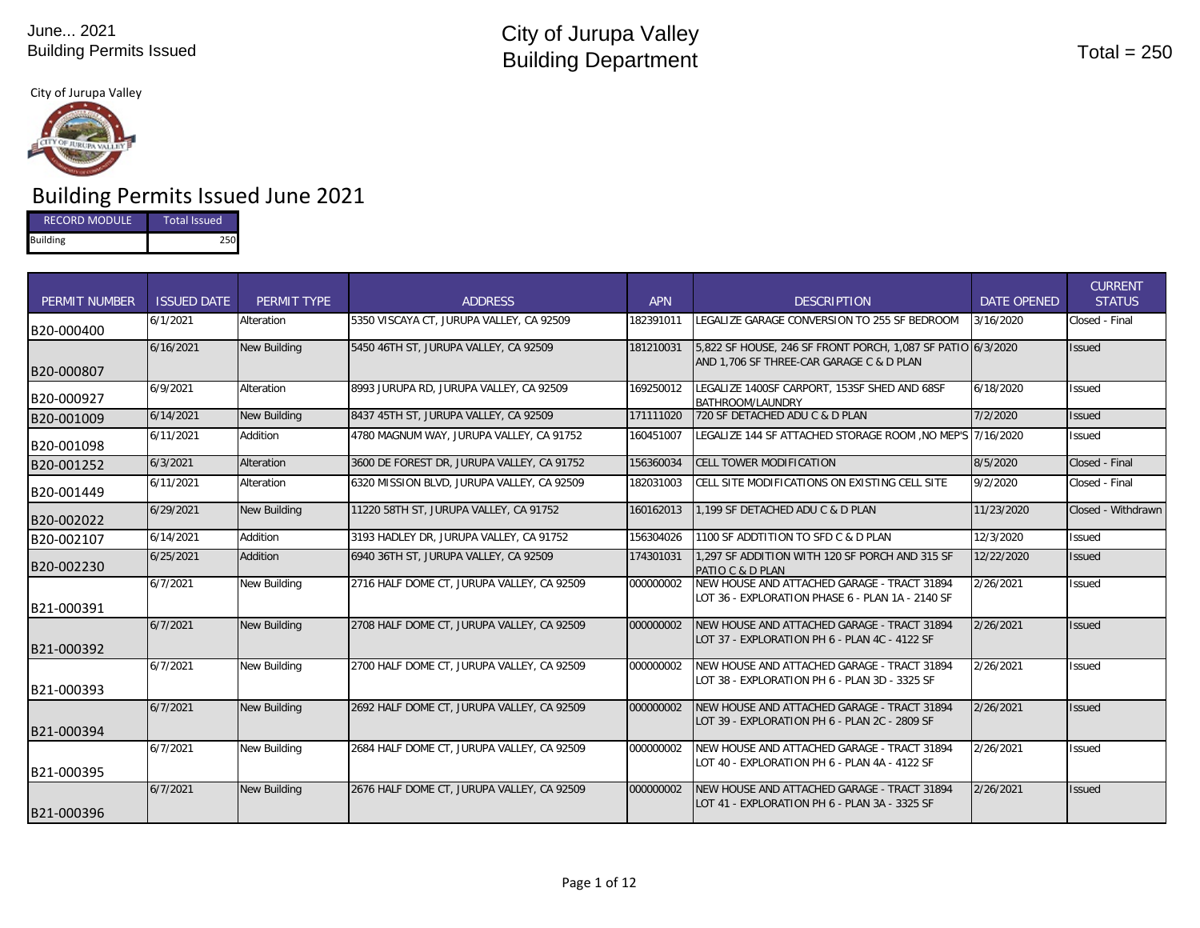#### City of Jurupa Valley



# Building Permits Issued June 2021

| <b>RECORD MODULE</b> | Total Issued |  |  |  |  |
|----------------------|--------------|--|--|--|--|
| <b>Building</b>      |              |  |  |  |  |

| <b>PERMIT NUMBER</b> | <b>ISSUED DATE</b> | PERMIT TYPE         | <b>ADDRESS</b>                             | <b>APN</b> | <b>DESCRIPTION</b>                                                                                      | <b>DATE OPENED</b> | <b>CURRENT</b><br><b>STATUS</b> |
|----------------------|--------------------|---------------------|--------------------------------------------|------------|---------------------------------------------------------------------------------------------------------|--------------------|---------------------------------|
| B20-000400           | 6/1/2021           | Alteration          | 5350 VISCAYA CT. JURUPA VALLEY. CA 92509   | 182391011  | LEGALIZE GARAGE CONVERSION TO 255 SF BEDROOM                                                            | 3/16/2020          | Closed - Final                  |
| B20-000807           | 6/16/2021          | New Building        | 5450 46TH ST, JURUPA VALLEY, CA 92509      | 181210031  | 5,822 SF HOUSE, 246 SF FRONT PORCH, 1,087 SF PATIO 6/3/2020<br>AND 1.706 SF THREE-CAR GARAGE C & D PLAN |                    | <b>Issued</b>                   |
| B20-000927           | 6/9/2021           | Alteration          | 8993 JURUPA RD, JURUPA VALLEY, CA 92509    | 169250012  | LEGALIZE 1400SF CARPORT, 153SF SHED AND 68SF<br>BATHROOM/LAUNDRY                                        | 6/18/2020          | <b>Issued</b>                   |
| B20-001009           | 6/14/2021          | New Building        | 8437 45TH ST, JURUPA VALLEY, CA 92509      | 171111020  | 720 SF DETACHED ADU C & D PLAN                                                                          | 7/2/2020           | <b>Issued</b>                   |
| B20-001098           | 6/11/2021          | Addition            | 4780 MAGNUM WAY, JURUPA VALLEY, CA 91752   | 160451007  | LEGALIZE 144 SF ATTACHED STORAGE ROOM , NO MEP'S 7/16/2020                                              |                    | Issued                          |
| B20-001252           | 6/3/2021           | Alteration          | 3600 DE FOREST DR. JURUPA VALLEY, CA 91752 | 156360034  | <b>CELL TOWER MODIFICATION</b>                                                                          | 8/5/2020           | Closed - Final                  |
| B20-001449           | 6/11/2021          | Alteration          | 6320 MISSION BLVD, JURUPA VALLEY, CA 92509 | 182031003  | CELL SITE MODIFICATIONS ON EXISTING CELL SITE                                                           | 9/2/2020           | Closed - Final                  |
| B20-002022           | 6/29/2021          | New Building        | 11220 58TH ST, JURUPA VALLEY, CA 91752     | 160162013  | 1.199 SF DETACHED ADU C & D PLAN                                                                        | 11/23/2020         | Closed - Withdrawn              |
| B20-002107           | 6/14/2021          | Addition            | 3193 HADLEY DR, JURUPA VALLEY, CA 91752    | 156304026  | 1100 SF ADDTITION TO SFD C & D PLAN                                                                     | 12/3/2020          | Issued                          |
| B20-002230           | 6/25/2021          | Addition            | 6940 36TH ST, JURUPA VALLEY, CA 92509      | 174301031  | 1.297 SF ADDITION WITH 120 SF PORCH AND 315 SF<br>PATIO C & D PLAN                                      | 12/22/2020         | <b>Issued</b>                   |
| B21-000391           | 6/7/2021           | New Building        | 2716 HALF DOME CT, JURUPA VALLEY, CA 92509 | 000000002  | NEW HOUSE AND ATTACHED GARAGE - TRACT 31894<br>LOT 36 - EXPLORATION PHASE 6 - PLAN 1A - 2140 SF         | 2/26/2021          | <b>Issued</b>                   |
| B21-000392           | 6/7/2021           | <b>New Building</b> | 2708 HALF DOME CT, JURUPA VALLEY, CA 92509 | 000000002  | NEW HOUSE AND ATTACHED GARAGE - TRACT 31894<br>LOT 37 - EXPLORATION PH 6 - PLAN 4C - 4122 SF            | 2/26/2021          | <b>Issued</b>                   |
| B21-000393           | 6/7/2021           | New Building        | 2700 HALF DOME CT, JURUPA VALLEY, CA 92509 | 000000002  | NEW HOUSE AND ATTACHED GARAGE - TRACT 31894<br>LOT 38 - EXPLORATION PH 6 - PLAN 3D - 3325 SF            | 2/26/2021          | <b>Issued</b>                   |
| B21-000394           | 6/7/2021           | <b>New Building</b> | 2692 HALF DOME CT, JURUPA VALLEY, CA 92509 | 000000002  | NEW HOUSE AND ATTACHED GARAGE - TRACT 31894<br>LOT 39 - EXPLORATION PH 6 - PLAN 2C - 2809 SF            | 2/26/2021          | <b>Issued</b>                   |
| B21-000395           | 6/7/2021           | New Building        | 2684 HALF DOME CT, JURUPA VALLEY, CA 92509 | 000000002  | NEW HOUSE AND ATTACHED GARAGE - TRACT 31894<br>LOT 40 - EXPLORATION PH 6 - PLAN 4A - 4122 SF            | 2/26/2021          | <b>Issued</b>                   |
| B21-000396           | 6/7/2021           | New Building        | 2676 HALF DOME CT. JURUPA VALLEY. CA 92509 | 000000002  | NEW HOUSE AND ATTACHED GARAGE - TRACT 31894<br>LOT 41 - EXPLORATION PH 6 - PLAN 3A - 3325 SF            | 2/26/2021          | <b>Issued</b>                   |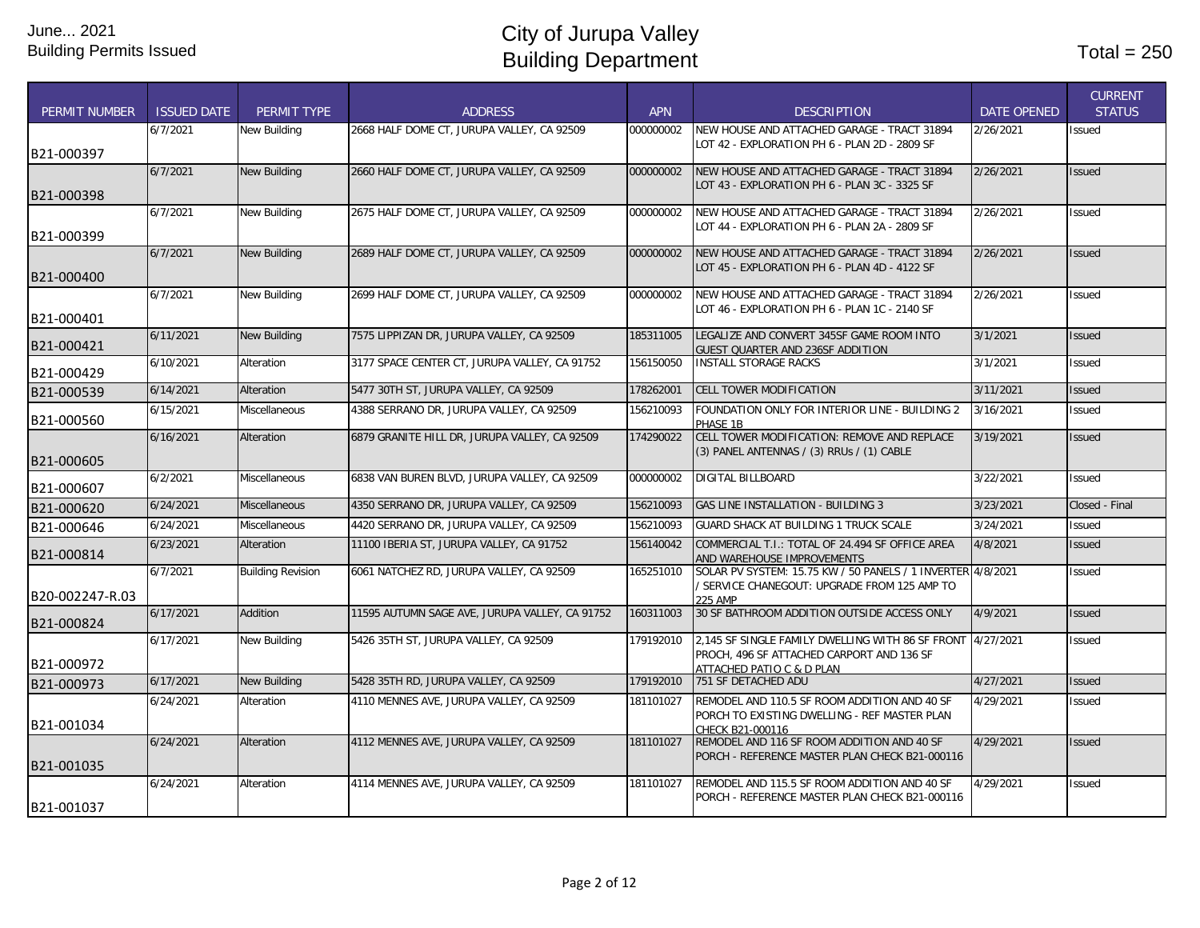| <b>PERMIT NUMBER</b> | <b>ISSUED DATE</b> | <b>PERMIT TYPE</b>       | <b>ADDRESS</b>                                 | <b>APN</b> | <b>DESCRIPTION</b>                                                                                                            | <b>DATE OPENED</b> | <b>CURRENT</b><br><b>STATUS</b> |
|----------------------|--------------------|--------------------------|------------------------------------------------|------------|-------------------------------------------------------------------------------------------------------------------------------|--------------------|---------------------------------|
| B21-000397           | 6/7/2021           | New Building             | 2668 HALF DOME CT. JURUPA VALLEY. CA 92509     | 000000002  | NEW HOUSE AND ATTACHED GARAGE - TRACT 31894<br>LOT 42 - EXPLORATION PH 6 - PLAN 2D - 2809 SF                                  | 2/26/2021          | <b>Issued</b>                   |
| B21-000398           | 6/7/2021           | New Building             | 2660 HALF DOME CT, JURUPA VALLEY, CA 92509     | 000000002  | NEW HOUSE AND ATTACHED GARAGE - TRACT 31894<br>LOT 43 - EXPLORATION PH 6 - PLAN 3C - 3325 SF                                  | 2/26/2021          | <b>Issued</b>                   |
| B21-000399           | 6/7/2021           | New Building             | 2675 HALF DOME CT, JURUPA VALLEY, CA 92509     | 000000002  | NEW HOUSE AND ATTACHED GARAGE - TRACT 31894<br>LOT 44 - EXPLORATION PH 6 - PLAN 2A - 2809 SF                                  | 2/26/2021          | Issued                          |
| B21-000400           | 6/7/2021           | New Building             | 2689 HALF DOME CT, JURUPA VALLEY, CA 92509     | 000000002  | NEW HOUSE AND ATTACHED GARAGE - TRACT 31894<br>LOT 45 - EXPLORATION PH 6 - PLAN 4D - 4122 SF                                  | 2/26/2021          | <b>Issued</b>                   |
| B21-000401           | 6/7/2021           | New Building             | 2699 HALF DOME CT, JURUPA VALLEY, CA 92509     | 000000002  | NEW HOUSE AND ATTACHED GARAGE - TRACT 31894<br>LOT 46 - EXPLORATION PH 6 - PLAN 1C - 2140 SF                                  | 2/26/2021          | <b>Issued</b>                   |
| B21-000421           | 6/11/2021          | <b>New Building</b>      | 7575 LIPPIZAN DR, JURUPA VALLEY, CA 92509      | 185311005  | LEGALIZE AND CONVERT 345SF GAME ROOM INTO<br><b>GUEST QUARTER AND 236SF ADDITION</b>                                          | 3/1/2021           | <b>Issued</b>                   |
| B21-000429           | 6/10/2021          | Alteration               | 3177 SPACE CENTER CT, JURUPA VALLEY, CA 91752  | 156150050  | <b>INSTALL STORAGE RACKS</b>                                                                                                  | 3/1/2021           | Issued                          |
| B21-000539           | 6/14/2021          | Alteration               | 5477 30TH ST, JURUPA VALLEY, CA 92509          | 178262001  | CELL TOWER MODIFICATION                                                                                                       | 3/11/2021          | <b>Issued</b>                   |
| B21-000560           | 6/15/2021          | Miscellaneous            | 4388 SERRANO DR, JURUPA VALLEY, CA 92509       | 156210093  | FOUNDATION ONLY FOR INTERIOR LINE - BUILDING 2<br>PHASE 1B                                                                    | 3/16/2021          | Issued                          |
| B21-000605           | 6/16/2021          | Alteration               | 6879 GRANITE HILL DR. JURUPA VALLEY, CA 92509  | 174290022  | CELL TOWER MODIFICATION: REMOVE AND REPLACE<br>(3) PANEL ANTENNAS / (3) RRUs / (1) CABLE                                      | 3/19/2021          | <b>Issued</b>                   |
| B21-000607           | 6/2/2021           | Miscellaneous            | 6838 VAN BUREN BLVD, JURUPA VALLEY, CA 92509   | 000000002  | <b>DIGITAL BILLBOARD</b>                                                                                                      | 3/22/2021          | <b>Issued</b>                   |
| B21-000620           | 6/24/2021          | <b>Miscellaneous</b>     | 4350 SERRANO DR. JURUPA VALLEY. CA 92509       | 156210093  | <b>GAS LINE INSTALLATION - BUILDING 3</b>                                                                                     | 3/23/2021          | Closed - Final                  |
| B21-000646           | 6/24/2021          | Miscellaneous            | 4420 SERRANO DR, JURUPA VALLEY, CA 92509       | 156210093  | GUARD SHACK AT BUILDING 1 TRUCK SCALE                                                                                         | 3/24/2021          | Issued                          |
| B21-000814           | 6/23/2021          | Alteration               | 11100 IBERIA ST, JURUPA VALLEY, CA 91752       | 156140042  | COMMERCIAL T.I.: TOTAL OF 24.494 SF OFFICE AREA<br>AND WAREHOUSE IMPROVEMENTS                                                 | 4/8/2021           | <b>Issued</b>                   |
| B20-002247-R.03      | 6/7/2021           | <b>Building Revision</b> | 6061 NATCHEZ RD, JURUPA VALLEY, CA 92509       | 165251010  | SOLAR PV SYSTEM: 15.75 KW / 50 PANELS / 1 INVERTER 4/8/2021<br>/ SERVICE CHANEGOUT: UPGRADE FROM 125 AMP TO<br><b>225 AMP</b> |                    | <b>Issued</b>                   |
| B21-000824           | 6/17/2021          | Addition                 | 11595 AUTUMN SAGE AVE, JURUPA VALLEY, CA 91752 | 160311003  | 30 SF BATHROOM ADDITION OUTSIDE ACCESS ONLY                                                                                   | 4/9/2021           | <b>Issued</b>                   |
| B21-000972           | 6/17/2021          | New Building             | 5426 35TH ST. JURUPA VALLEY. CA 92509          | 179192010  | 2.145 SF SINGLE FAMILY DWELLING WITH 86 SF FRONT<br>PROCH, 496 SF ATTACHED CARPORT AND 136 SF<br>ATTACHED PATIO C & D PLAN    | $-4/27/2021$       | <b>Issued</b>                   |
| B21-000973           | 6/17/2021          | New Building             | 5428 35TH RD, JURUPA VALLEY, CA 92509          | 179192010  | 751 SF DETACHED ADU                                                                                                           | 4/27/2021          | <b>Issued</b>                   |
| B21-001034           | 6/24/2021          | Alteration               | 4110 MENNES AVE, JURUPA VALLEY, CA 92509       | 181101027  | REMODEL AND 110.5 SF ROOM ADDITION AND 40 SF<br>PORCH TO EXISTING DWELLING - REF MASTER PLAN<br>CHECK B21-000116              | 4/29/2021          | <b>Issued</b>                   |
| B21-001035           | 6/24/2021          | Alteration               | 4112 MENNES AVE, JURUPA VALLEY, CA 92509       | 181101027  | REMODEL AND 116 SF ROOM ADDITION AND 40 SF<br>PORCH - REFERENCE MASTER PLAN CHECK B21-000116                                  | 4/29/2021          | <b>Issued</b>                   |
| B21-001037           | 6/24/2021          | Alteration               | 4114 MENNES AVE, JURUPA VALLEY, CA 92509       | 181101027  | REMODEL AND 115.5 SF ROOM ADDITION AND 40 SF<br>PORCH - REFERENCE MASTER PLAN CHECK B21-000116                                | 4/29/2021          | Issued                          |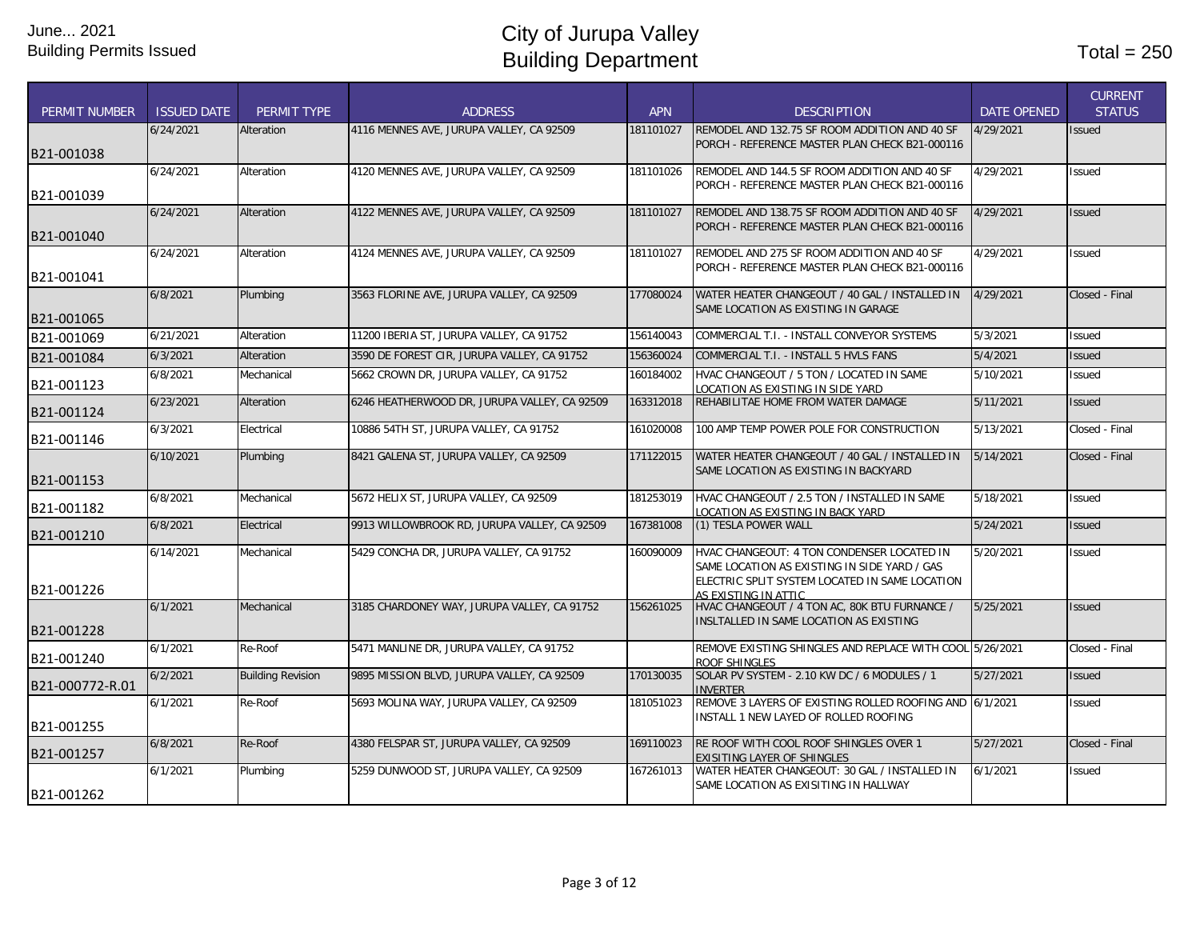| <b>PERMIT NUMBER</b> | <b>ISSUED DATE</b> | <b>PERMIT TYPE</b>       | <b>ADDRESS</b>                               | <b>APN</b> | <b>DESCRIPTION</b>                                                                                                                                                   | <b>DATE OPENED</b> | <b>CURRENT</b><br><b>STATUS</b> |
|----------------------|--------------------|--------------------------|----------------------------------------------|------------|----------------------------------------------------------------------------------------------------------------------------------------------------------------------|--------------------|---------------------------------|
| B21-001038           | 6/24/2021          | Alteration               | 4116 MENNES AVE, JURUPA VALLEY, CA 92509     | 181101027  | REMODEL AND 132.75 SF ROOM ADDITION AND 40 SF<br>PORCH - REFERENCE MASTER PLAN CHECK B21-000116                                                                      | 4/29/2021          | <b>Issued</b>                   |
| B21-001039           | 6/24/2021          | Alteration               | 4120 MENNES AVE, JURUPA VALLEY, CA 92509     | 181101026  | REMODEL AND 144.5 SF ROOM ADDITION AND 40 SF<br>PORCH - REFERENCE MASTER PLAN CHECK B21-000116                                                                       | 4/29/2021          | <b>Issued</b>                   |
| B21-001040           | 6/24/2021          | Alteration               | 4122 MENNES AVE, JURUPA VALLEY, CA 92509     | 181101027  | REMODEL AND 138.75 SF ROOM ADDITION AND 40 SF<br>PORCH - REFERENCE MASTER PLAN CHECK B21-000116                                                                      | 4/29/2021          | <b>Issued</b>                   |
| B21-001041           | 6/24/2021          | Alteration               | 4124 MENNES AVE, JURUPA VALLEY, CA 92509     | 181101027  | REMODEL AND 275 SF ROOM ADDITION AND 40 SF<br>PORCH - REFERENCE MASTER PLAN CHECK B21-000116                                                                         | 4/29/2021          | <b>Issued</b>                   |
| B21-001065           | 6/8/2021           | Plumbing                 | 3563 FLORINE AVE, JURUPA VALLEY, CA 92509    | 177080024  | WATER HEATER CHANGEOUT / 40 GAL / INSTALLED IN<br>SAME LOCATION AS EXISTING IN GARAGE                                                                                | 4/29/2021          | Closed - Final                  |
| B21-001069           | 6/21/2021          | Alteration               | 11200 IBERIA ST, JURUPA VALLEY, CA 91752     | 156140043  | COMMERCIAL T.I. - INSTALL CONVEYOR SYSTEMS                                                                                                                           | 5/3/2021           | Issued                          |
| B21-001084           | 6/3/2021           | Alteration               | 3590 DE FOREST CIR, JURUPA VALLEY, CA 91752  | 156360024  | COMMERCIAL T.I. - INSTALL 5 HVLS FANS                                                                                                                                | 5/4/2021           | <b>Issued</b>                   |
| B21-001123           | 6/8/2021           | Mechanical               | 5662 CROWN DR, JURUPA VALLEY, CA 91752       | 160184002  | HVAC CHANGEOUT / 5 TON / LOCATED IN SAME<br>OCATION AS EXISTING IN SIDE YARD                                                                                         | 5/10/2021          | <b>Issued</b>                   |
| B21-001124           | 6/23/2021          | Alteration               | 6246 HEATHERWOOD DR, JURUPA VALLEY, CA 92509 | 163312018  | REHABILITAE HOME FROM WATER DAMAGE                                                                                                                                   | 5/11/2021          | <b>Issued</b>                   |
| B21-001146           | 6/3/2021           | Electrical               | 10886 54TH ST, JURUPA VALLEY, CA 91752       | 161020008  | 100 AMP TEMP POWER POLE FOR CONSTRUCTION                                                                                                                             | 5/13/2021          | Closed - Final                  |
| B21-001153           | 6/10/2021          | Plumbing                 | 8421 GALENA ST. JURUPA VALLEY. CA 92509      | 171122015  | WATER HEATER CHANGEOUT / 40 GAL / INSTALLED IN<br>SAME LOCATION AS EXISTING IN BACKYARD                                                                              | 5/14/2021          | Closed - Final                  |
| B21-001182           | 6/8/2021           | Mechanical               | 5672 HELIX ST, JURUPA VALLEY, CA 92509       | 181253019  | HVAC CHANGEOUT / 2.5 TON / INSTALLED IN SAME<br>OCATION AS EXISTING IN BACK YARD.                                                                                    | 5/18/2021          | <b>Issued</b>                   |
| B21-001210           | 6/8/2021           | Electrical               | 9913 WILLOWBROOK RD, JURUPA VALLEY, CA 92509 | 167381008  | (1) TESLA POWER WALL                                                                                                                                                 | 5/24/2021          | <b>Issued</b>                   |
| B21-001226           | 6/14/2021          | Mechanical               | 5429 CONCHA DR, JURUPA VALLEY, CA 91752      | 160090009  | HVAC CHANGEOUT: 4 TON CONDENSER LOCATED IN<br>SAME LOCATION AS EXISTING IN SIDE YARD / GAS<br>ELECTRIC SPLIT SYSTEM LOCATED IN SAME LOCATION<br>AS EXISTING IN ATTIC | 5/20/2021          | Issued                          |
| B21-001228           | 6/1/2021           | Mechanical               | 3185 CHARDONEY WAY, JURUPA VALLEY, CA 91752  | 156261025  | HVAC CHANGEOUT / 4 TON AC, 80K BTU FURNANCE /<br>INSLTALLED IN SAME LOCATION AS EXISTING                                                                             | 5/25/2021          | <b>Issued</b>                   |
| B21-001240           | 6/1/2021           | Re-Roof                  | 5471 MANLINE DR, JURUPA VALLEY, CA 91752     |            | REMOVE EXISTING SHINGLES AND REPLACE WITH COOL 5/26/2021<br>ROOF SHINGLES                                                                                            |                    | Closed - Final                  |
| B21-000772-R.01      | 6/2/2021           | <b>Building Revision</b> | 9895 MISSION BLVD, JURUPA VALLEY, CA 92509   | 170130035  | SOLAR PV SYSTEM - 2.10 KW DC / 6 MODULES / 1<br><b>INVERTER</b>                                                                                                      | 5/27/2021          | <b>Issued</b>                   |
| B21-001255           | 6/1/2021           | Re-Roof                  | 5693 MOLINA WAY, JURUPA VALLEY, CA 92509     | 181051023  | REMOVE 3 LAYERS OF EXISTING ROLLED ROOFING AND 6/1/2021<br>INSTALL 1 NEW LAYED OF ROLLED ROOFING                                                                     |                    | Issued                          |
| B21-001257           | 6/8/2021           | Re-Roof                  | 4380 FELSPAR ST, JURUPA VALLEY, CA 92509     | 169110023  | RE ROOF WITH COOL ROOF SHINGLES OVER 1<br>EXISITING LAYER OF SHINGLES                                                                                                | 5/27/2021          | Closed - Final                  |
| B21-001262           | 6/1/2021           | Plumbing                 | 5259 DUNWOOD ST, JURUPA VALLEY, CA 92509     | 167261013  | WATER HEATER CHANGEOUT: 30 GAL / INSTALLED IN<br>SAME LOCATION AS EXISITING IN HALLWAY                                                                               | 6/1/2021           | Issued                          |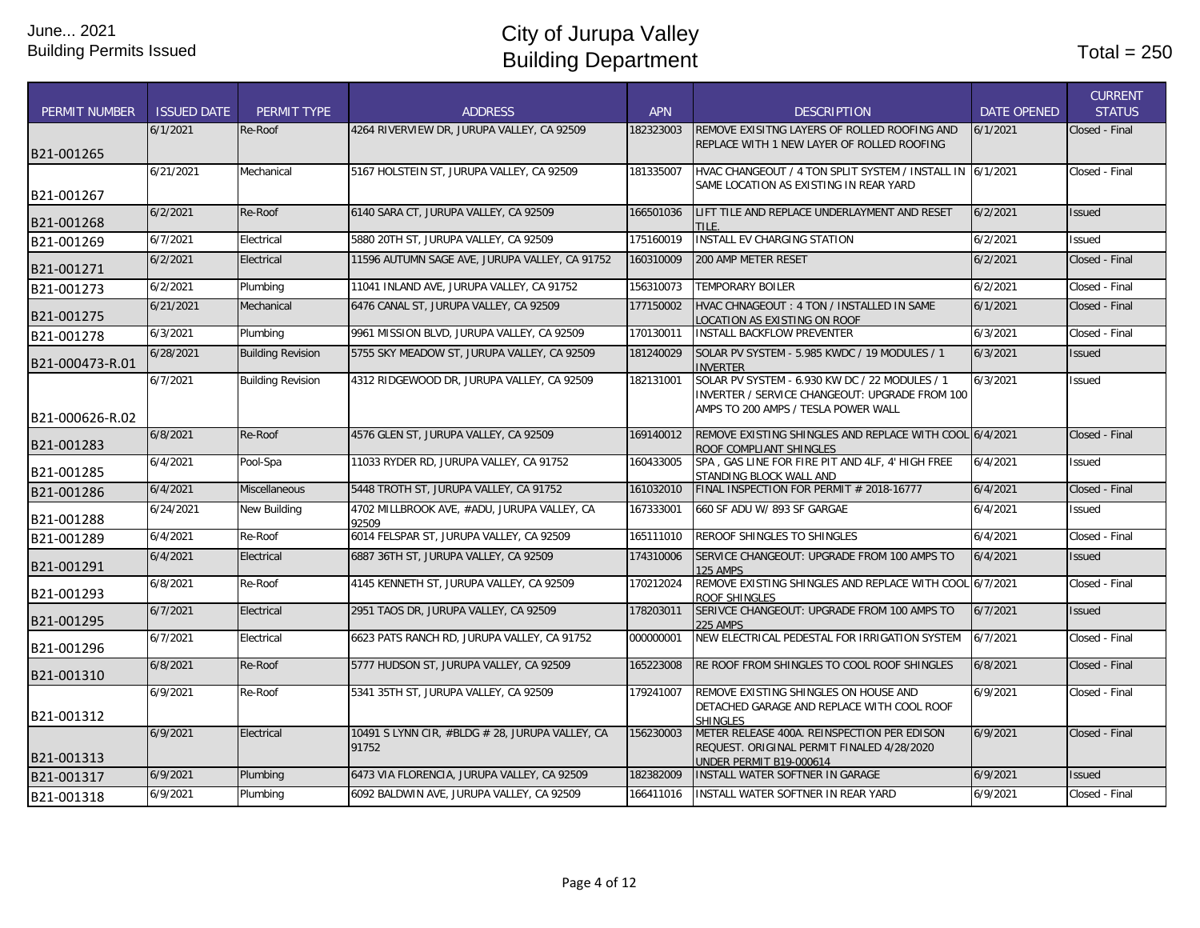| <b>PERMIT NUMBER</b> | <b>ISSUED DATE</b> | PERMIT TYPE              | <b>ADDRESS</b>                                           | <b>APN</b> | <b>DESCRIPTION</b>                                                                                                                      | <b>DATE OPENED</b> | <b>CURRENT</b><br><b>STATUS</b> |
|----------------------|--------------------|--------------------------|----------------------------------------------------------|------------|-----------------------------------------------------------------------------------------------------------------------------------------|--------------------|---------------------------------|
|                      | 6/1/2021           | Re-Roof                  | 4264 RIVERVIEW DR. JURUPA VALLEY. CA 92509               | 182323003  | REMOVE EXISITNG LAYERS OF ROLLED ROOFING AND                                                                                            | 6/1/2021           | Closed - Final                  |
| IB21-001265          |                    |                          |                                                          |            | REPLACE WITH 1 NEW LAYER OF ROLLED ROOFING                                                                                              |                    |                                 |
|                      | 6/21/2021          | Mechanical               | 5167 HOLSTEIN ST, JURUPA VALLEY, CA 92509                | 181335007  | HVAC CHANGEOUT / 4 TON SPLIT SYSTEM / INSTALL IN                                                                                        | 6/1/2021           | Closed - Final                  |
| B21-001267           |                    |                          |                                                          |            | SAME LOCATION AS EXISTING IN REAR YARD                                                                                                  |                    |                                 |
| B21-001268           | 6/2/2021           | Re-Roof                  | 6140 SARA CT, JURUPA VALLEY, CA 92509                    | 166501036  | LIFT TILE AND REPLACE UNDERLAYMENT AND RESET                                                                                            | 6/2/2021           | <b>Issued</b>                   |
| B21-001269           | 6/7/2021           | Electrical               | 5880 20TH ST, JURUPA VALLEY, CA 92509                    | 175160019  | TILE.<br>INSTALL EV CHARGING STATION                                                                                                    | 6/2/2021           | <b>Issued</b>                   |
|                      | 6/2/2021           | Electrical               | 11596 AUTUMN SAGE AVE, JURUPA VALLEY, CA 91752           | 160310009  | 200 AMP METER RESET                                                                                                                     | 6/2/2021           | Closed - Final                  |
| B21-001271           | 6/2/2021           | Plumbing                 | 11041 INLAND AVE, JURUPA VALLEY, CA 91752                | 156310073  | <b>TEMPORARY BOILER</b>                                                                                                                 | 6/2/2021           | Closed - Final                  |
| B21-001273           | 6/21/2021          |                          |                                                          | 177150002  | HVAC CHNAGEOUT: 4 TON / INSTALLED IN SAME                                                                                               | 6/1/2021           |                                 |
| B21-001275           |                    | Mechanical               | 6476 CANAL ST, JURUPA VALLEY, CA 92509                   |            | LOCATION AS EXISTING ON ROOF                                                                                                            |                    | Closed - Final                  |
| B21-001278           | 6/3/2021           | Plumbing                 | 9961 MISSION BLVD, JURUPA VALLEY, CA 92509               | 170130011  | <b>INSTALL BACKFLOW PREVENTER</b>                                                                                                       | 6/3/2021           | Closed - Final                  |
| B21-000473-R.01      | 6/28/2021          | <b>Building Revision</b> | 5755 SKY MEADOW ST, JURUPA VALLEY, CA 92509              | 181240029  | SOLAR PV SYSTEM - 5.985 KWDC / 19 MODULES / 1<br><b>INVERTER</b>                                                                        | 6/3/2021           | <b>Issued</b>                   |
|                      | 6/7/2021           | <b>Building Revision</b> | 4312 RIDGEWOOD DR. JURUPA VALLEY, CA 92509               | 182131001  | SOLAR PV SYSTEM - 6.930 KW DC / 22 MODULES / 1<br>INVERTER / SERVICE CHANGEOUT: UPGRADE FROM 100<br>AMPS TO 200 AMPS / TESLA POWER WALL | 6/3/2021           | Issued                          |
| B21-000626-R.02      |                    |                          |                                                          |            |                                                                                                                                         |                    |                                 |
| B21-001283           | 6/8/2021           | Re-Roof                  | 4576 GLEN ST, JURUPA VALLEY, CA 92509                    | 169140012  | REMOVE EXISTING SHINGLES AND REPLACE WITH COOL 6/4/2021<br>ROOF COMPLIANT SHINGLES                                                      |                    | Closed - Final                  |
| B21-001285           | 6/4/2021           | Pool-Spa                 | 11033 RYDER RD, JURUPA VALLEY, CA 91752                  | 160433005  | SPA, GAS LINE FOR FIRE PIT AND 4LF, 4' HIGH FREE<br>STANDING BLOCK WALL AND                                                             | 6/4/2021           | <b>Issued</b>                   |
| B21-001286           | 6/4/2021           | <b>Miscellaneous</b>     | 5448 TROTH ST, JURUPA VALLEY, CA 91752                   | 161032010  | FINAL INSPECTION FOR PERMIT # 2018-16777                                                                                                | 6/4/2021           | Closed - Final                  |
| B21-001288           | 6/24/2021          | New Building             | 4702 MILLBROOK AVE, #ADU, JURUPA VALLEY, CA<br>92509     | 167333001  | 660 SF ADU W/ 893 SF GARGAE                                                                                                             | 6/4/2021           | <b>Issued</b>                   |
| B21-001289           | 6/4/2021           | Re-Roof                  | 6014 FELSPAR ST, JURUPA VALLEY, CA 92509                 | 165111010  | REROOF SHINGLES TO SHINGLES                                                                                                             | 6/4/2021           | Closed - Final                  |
| B21-001291           | 6/4/2021           | Electrical               | 6887 36TH ST, JURUPA VALLEY, CA 92509                    | 174310006  | SERVICE CHANGEOUT: UPGRADE FROM 100 AMPS TO<br>125 AMPS                                                                                 | 6/4/2021           | <b>Issued</b>                   |
| B21-001293           | 6/8/2021           | Re-Roof                  | 4145 KENNETH ST, JURUPA VALLEY, CA 92509                 | 170212024  | REMOVE EXISTING SHINGLES AND REPLACE WITH COOL<br>ROOF SHINGLES                                                                         | 6/7/2021           | Closed - Final                  |
| B21-001295           | 6/7/2021           | Electrical               | 2951 TAOS DR, JURUPA VALLEY, CA 92509                    | 178203011  | SERIVCE CHANGEOUT: UPGRADE FROM 100 AMPS TO<br><b>225 AMPS</b>                                                                          | 6/7/2021           | <b>Issued</b>                   |
| B21-001296           | 6/7/2021           | Electrical               | 6623 PATS RANCH RD, JURUPA VALLEY, CA 91752              | 000000001  | NEW ELECTRICAL PEDESTAL FOR IRRIGATION SYSTEM                                                                                           | 6/7/2021           | Closed - Final                  |
| B21-001310           | 6/8/2021           | Re-Roof                  | 5777 HUDSON ST, JURUPA VALLEY, CA 92509                  | 165223008  | RE ROOF FROM SHINGLES TO COOL ROOF SHINGLES                                                                                             | 6/8/2021           | Closed - Final                  |
| B21-001312           | 6/9/2021           | Re-Roof                  | 5341 35TH ST, JURUPA VALLEY, CA 92509                    | 179241007  | REMOVE EXISTING SHINGLES ON HOUSE AND<br>DETACHED GARAGE AND REPLACE WITH COOL ROOF<br><b>SHINGLES</b>                                  | 6/9/2021           | Closed - Final                  |
|                      | 6/9/2021           | Electrical               | 10491 S LYNN CIR, #BLDG # 28, JURUPA VALLEY, CA<br>91752 | 156230003  | METER RELEASE 400A. REINSPECTION PER EDISON<br>REQUEST. ORIGINAL PERMIT FINALED 4/28/2020                                               | 6/9/2021           | Closed - Final                  |
| B21-001313           | 6/9/2021           | Plumbing                 | 6473 VIA FLORENCIA, JURUPA VALLEY, CA 92509              | 182382009  | JNDER PERMIT B19-000614<br>INSTALL WATER SOFTNER IN GARAGE                                                                              | 6/9/2021           | <b>Issued</b>                   |
| B21-001317           | 6/9/2021           | Plumbing                 | 6092 BALDWIN AVE, JURUPA VALLEY, CA 92509                | 166411016  | INSTALL WATER SOFTNER IN REAR YARD                                                                                                      | 6/9/2021           | Closed - Final                  |
| B21-001318           |                    |                          |                                                          |            |                                                                                                                                         |                    |                                 |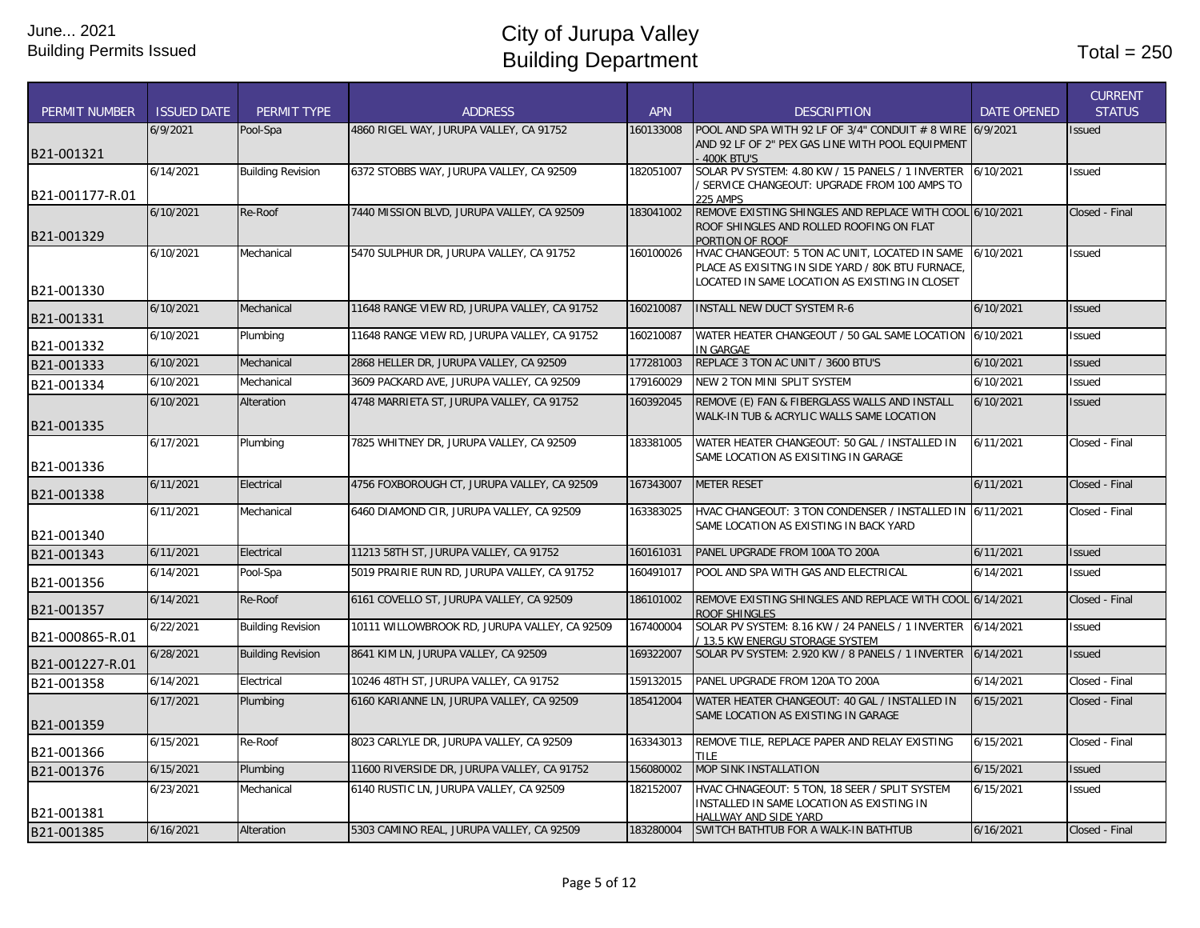| PERMIT NUMBER   | <b>ISSUED DATE</b> | PERMIT TYPE              | <b>ADDRESS</b>                                | <b>APN</b> | <b>DESCRIPTION</b>                                                                                                                                    | <b>DATE OPENED</b> | <b>CURRENT</b><br><b>STATUS</b> |
|-----------------|--------------------|--------------------------|-----------------------------------------------|------------|-------------------------------------------------------------------------------------------------------------------------------------------------------|--------------------|---------------------------------|
| B21-001321      | 6/9/2021           | Pool-Spa                 | 4860 RIGEL WAY, JURUPA VALLEY, CA 91752       | 160133008  | POOL AND SPA WITH 92 LF OF 3/4" CONDUIT # 8 WIRE 6/9/2021<br>AND 92 LF OF 2" PEX GAS LINE WITH POOL EQUIPMENT<br>400K BTU'S                           |                    | Issued                          |
| B21-001177-R.01 | 6/14/2021          | <b>Building Revision</b> | 6372 STOBBS WAY, JURUPA VALLEY, CA 92509      | 182051007  | SOLAR PV SYSTEM: 4.80 KW / 15 PANELS / 1 INVERTER<br>/ SERVICE CHANGEOUT: UPGRADE FROM 100 AMPS TO<br><b>225 AMPS</b>                                 | 6/10/2021          | Issued                          |
| B21-001329      | 6/10/2021          | Re-Roof                  | 7440 MISSION BLVD, JURUPA VALLEY, CA 92509    | 183041002  | REMOVE EXISTING SHINGLES AND REPLACE WITH COOL 6/10/2021<br>ROOF SHINGLES AND ROLLED ROOFING ON FLAT<br>PORTION OF ROOF                               |                    | Closed - Final                  |
| B21-001330      | 6/10/2021          | Mechanical               | 5470 SULPHUR DR, JURUPA VALLEY, CA 91752      | 160100026  | HVAC CHANGEOUT: 5 TON AC UNIT, LOCATED IN SAME<br>PLACE AS EXISITNG IN SIDE YARD / 80K BTU FURNACE,<br>LOCATED IN SAME LOCATION AS EXISTING IN CLOSET | 6/10/2021          | Issued                          |
| B21-001331      | 6/10/2021          | Mechanical               | 11648 RANGE VIEW RD, JURUPA VALLEY, CA 91752  | 160210087  | <b>INSTALL NEW DUCT SYSTEM R-6</b>                                                                                                                    | 6/10/2021          | <b>Issued</b>                   |
| B21-001332      | 6/10/2021          | Plumbing                 | 11648 RANGE VIEW RD, JURUPA VALLEY, CA 91752  | 160210087  | WATER HEATER CHANGEOUT / 50 GAL SAME LOCATION<br>IN GARGAE                                                                                            | 6/10/2021          | <b>Issued</b>                   |
| B21-001333      | 6/10/2021          | Mechanical               | 2868 HELLER DR, JURUPA VALLEY, CA 92509       | 177281003  | REPLACE 3 TON AC UNIT / 3600 BTU'S                                                                                                                    | 6/10/2021          | Issued                          |
| B21-001334      | 6/10/2021          | Mechanical               | 3609 PACKARD AVE, JURUPA VALLEY, CA 92509     | 179160029  | NEW 2 TON MINI SPLIT SYSTEM                                                                                                                           | 6/10/2021          | Issued                          |
| B21-001335      | 6/10/2021          | Alteration               | 4748 MARRIETA ST, JURUPA VALLEY, CA 91752     | 160392045  | REMOVE (E) FAN & FIBERGLASS WALLS AND INSTALL<br>WALK-IN TUB & ACRYLIC WALLS SAME LOCATION                                                            | 6/10/2021          | Issued                          |
| B21-001336      | 6/17/2021          | Plumbing                 | 7825 WHITNEY DR, JURUPA VALLEY, CA 92509      | 183381005  | WATER HEATER CHANGEOUT: 50 GAL / INSTALLED IN<br>SAME LOCATION AS EXISITING IN GARAGE                                                                 | 6/11/2021          | Closed - Final                  |
| B21-001338      | 6/11/2021          | Electrical               | 4756 FOXBOROUGH CT, JURUPA VALLEY, CA 92509   | 167343007  | <b>METER RESET</b>                                                                                                                                    | 6/11/2021          | Closed - Final                  |
| B21-001340      | 6/11/2021          | Mechanical               | 6460 DIAMOND CIR, JURUPA VALLEY, CA 92509     | 163383025  | HVAC CHANGEOUT: 3 TON CONDENSER / INSTALLED IN 6/11/2021<br>SAME LOCATION AS EXISTING IN BACK YARD                                                    |                    | Closed - Final                  |
| B21-001343      | 6/11/2021          | Electrical               | 11213 58TH ST. JURUPA VALLEY, CA 91752        | 160161031  | PANEL UPGRADE FROM 100A TO 200A                                                                                                                       | 6/11/2021          | <b>Issued</b>                   |
| B21-001356      | 6/14/2021          | Pool-Spa                 | 5019 PRAIRIE RUN RD, JURUPA VALLEY, CA 91752  | 160491017  | POOL AND SPA WITH GAS AND ELECTRICAL                                                                                                                  | 6/14/2021          | Issued                          |
| B21-001357      | 6/14/2021          | Re-Roof                  | 6161 COVELLO ST, JURUPA VALLEY, CA 92509      | 186101002  | REMOVE EXISTING SHINGLES AND REPLACE WITH COOL 6/14/2021<br><b>ROOF SHINGLES</b>                                                                      |                    | Closed - Final                  |
| B21-000865-R.01 | 6/22/2021          | <b>Building Revision</b> | 10111 WILLOWBROOK RD, JURUPA VALLEY, CA 92509 | 167400004  | SOLAR PV SYSTEM: 8.16 KW / 24 PANELS / 1 INVERTER<br>13.5 KW ENERGU STORAGE SYSTEM                                                                    | 6/14/2021          | Issued                          |
| B21-001227-R.01 | 6/28/2021          | <b>Building Revision</b> | 8641 KIM LN, JURUPA VALLEY, CA 92509          | 169322007  | SOLAR PV SYSTEM: 2.920 KW / 8 PANELS / 1 INVERTER                                                                                                     | 6/14/2021          | <b>Issued</b>                   |
| B21-001358      | 6/14/2021          | Electrical               | 10246 48TH ST, JURUPA VALLEY, CA 91752        | 159132015  | PANEL UPGRADE FROM 120A TO 200A                                                                                                                       | 6/14/2021          | Closed - Final                  |
| B21-001359      | 6/17/2021          | Plumbing                 | 6160 KARIANNE LN, JURUPA VALLEY, CA 92509     | 185412004  | WATER HEATER CHANGEOUT: 40 GAL / INSTALLED IN<br>SAME LOCATION AS EXISTING IN GARAGE                                                                  | 6/15/2021          | Closed - Final                  |
| B21-001366      | 6/15/2021          | Re-Roof                  | 8023 CARLYLE DR, JURUPA VALLEY, CA 92509      | 163343013  | REMOVE TILE, REPLACE PAPER AND RELAY EXISTING<br>TII F                                                                                                | 6/15/2021          | Closed - Final                  |
| B21-001376      | 6/15/2021          | Plumbing                 | 11600 RIVERSIDE DR, JURUPA VALLEY, CA 91752   | 156080002  | MOP SINK INSTALLATION                                                                                                                                 | 6/15/2021          | Issued                          |
| B21-001381      | 6/23/2021          | Mechanical               | 6140 RUSTIC LN, JURUPA VALLEY, CA 92509       | 182152007  | HVAC CHNAGEOUT: 5 TON, 18 SEER / SPLIT SYSTEM<br>INSTALLED IN SAME LOCATION AS EXISTING IN<br>HALLWAY AND SIDE YARD                                   | 6/15/2021          | Issued                          |
| B21-001385      | 6/16/2021          | Alteration               | 5303 CAMINO REAL, JURUPA VALLEY, CA 92509     | 183280004  | SWITCH BATHTUB FOR A WALK-IN BATHTUB                                                                                                                  | 6/16/2021          | Closed - Final                  |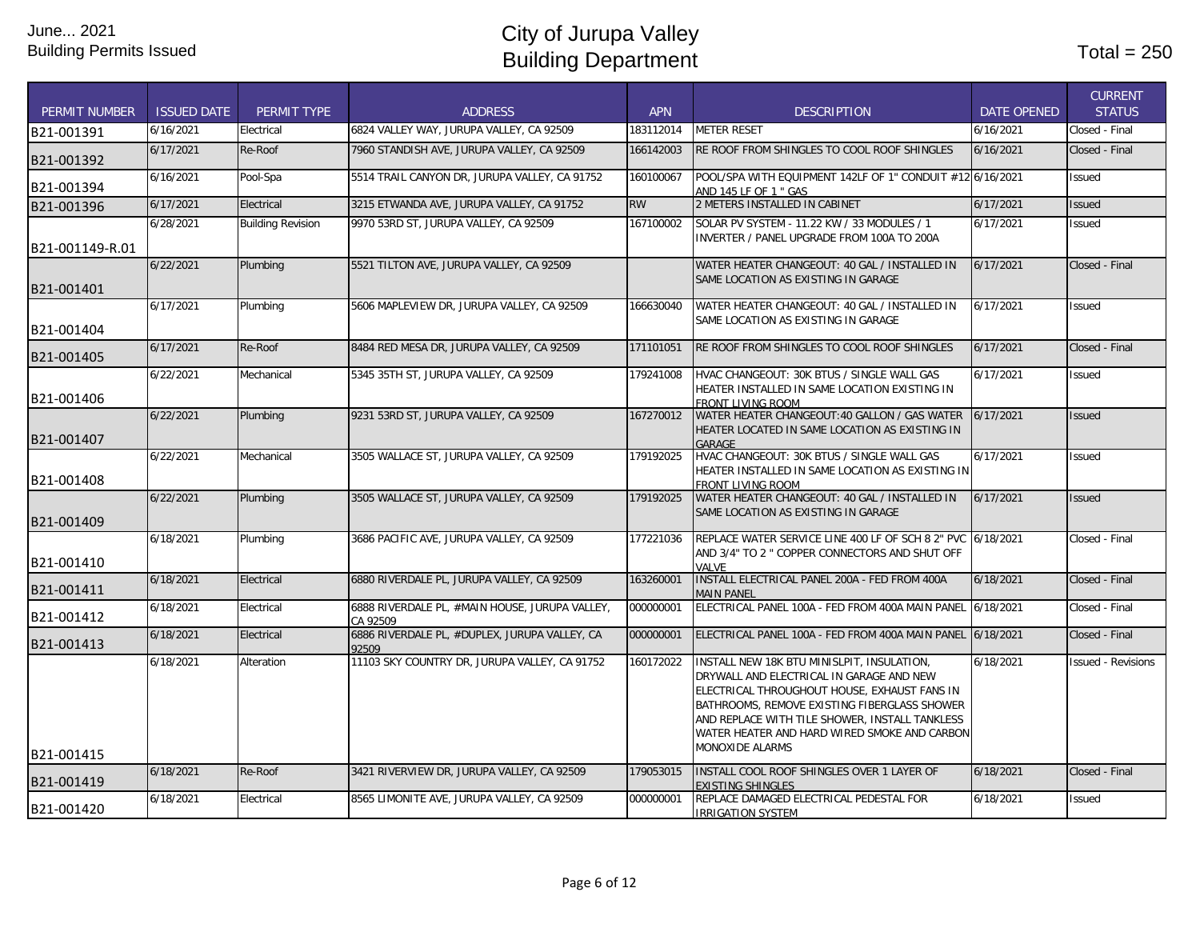| <b>PERMIT NUMBER</b> | <b>ISSUED DATE</b> | PERMIT TYPE              | <b>ADDRESS</b>                                             | <b>APN</b> | <b>DESCRIPTION</b>                                                                                                                                                                                                                                                                                          | <b>DATE OPENED</b> | <b>CURRENT</b><br><b>STATUS</b> |
|----------------------|--------------------|--------------------------|------------------------------------------------------------|------------|-------------------------------------------------------------------------------------------------------------------------------------------------------------------------------------------------------------------------------------------------------------------------------------------------------------|--------------------|---------------------------------|
| B21-001391           | 6/16/2021          | Electrical               | 6824 VALLEY WAY, JURUPA VALLEY, CA 92509                   | 183112014  | <b>METER RESET</b>                                                                                                                                                                                                                                                                                          | 6/16/2021          | Closed - Final                  |
| B21-001392           | 6/17/2021          | Re-Roof                  | 7960 STANDISH AVE, JURUPA VALLEY, CA 92509                 | 166142003  | RE ROOF FROM SHINGLES TO COOL ROOF SHINGLES                                                                                                                                                                                                                                                                 | 6/16/2021          | Closed - Final                  |
| B21-001394           | 6/16/2021          | Pool-Spa                 | 5514 TRAIL CANYON DR, JURUPA VALLEY, CA 91752              | 160100067  | POOL/SPA WITH EQUIPMENT 142LF OF 1" CONDUIT #12 6/16/2021<br>AND 145 LF OF 1 " GAS                                                                                                                                                                                                                          |                    | Issued                          |
| B21-001396           | 6/17/2021          | Electrical               | 3215 ETWANDA AVE, JURUPA VALLEY, CA 91752                  | <b>RW</b>  | 2 METERS INSTALLED IN CABINET                                                                                                                                                                                                                                                                               | 6/17/2021          | Issued                          |
| B21-001149-R.01      | 6/28/2021          | <b>Building Revision</b> | 9970 53RD ST, JURUPA VALLEY, CA 92509                      | 167100002  | SOLAR PV SYSTEM - 11.22 KW / 33 MODULES / 1<br>INVERTER / PANEL UPGRADE FROM 100A TO 200A                                                                                                                                                                                                                   | 6/17/2021          | Issued                          |
| B21-001401           | 6/22/2021          | Plumbing                 | 5521 TILTON AVE, JURUPA VALLEY, CA 92509                   |            | WATER HEATER CHANGEOUT: 40 GAL / INSTALLED IN<br>SAME LOCATION AS EXISTING IN GARAGE                                                                                                                                                                                                                        | 6/17/2021          | Closed - Final                  |
| B21-001404           | 6/17/2021          | Plumbing                 | 5606 MAPLEVIEW DR, JURUPA VALLEY, CA 92509                 | 166630040  | WATER HEATER CHANGEOUT: 40 GAL / INSTALLED IN<br>SAME LOCATION AS EXISTING IN GARAGE                                                                                                                                                                                                                        | 6/17/2021          | <b>Issued</b>                   |
| B21-001405           | 6/17/2021          | Re-Roof                  | 8484 RED MESA DR, JURUPA VALLEY, CA 92509                  | 171101051  | RE ROOF FROM SHINGLES TO COOL ROOF SHINGLES                                                                                                                                                                                                                                                                 | 6/17/2021          | Closed - Final                  |
| B21-001406           | 6/22/2021          | Mechanical               | 5345 35TH ST, JURUPA VALLEY, CA 92509                      | 179241008  | HVAC CHANGEOUT: 30K BTUS / SINGLE WALL GAS<br>HEATER INSTALLED IN SAME LOCATION EXISTING IN<br><b>FRONT LIVING ROOM</b>                                                                                                                                                                                     | 6/17/2021          | Issued                          |
| B21-001407           | 6/22/2021          | Plumbing                 | 9231 53RD ST, JURUPA VALLEY, CA 92509                      | 167270012  | WATER HEATER CHANGEOUT: 40 GALLON / GAS WATER<br>HEATER LOCATED IN SAME LOCATION AS EXISTING IN<br>GARAGE                                                                                                                                                                                                   | 6/17/2021          | <b>Issued</b>                   |
| B21-001408           | 6/22/2021          | Mechanical               | 3505 WALLACE ST, JURUPA VALLEY, CA 92509                   | 179192025  | HVAC CHANGEOUT: 30K BTUS / SINGLE WALL GAS<br>HEATER INSTALLED IN SAME LOCATION AS EXISTING IN<br><b>FRONT LIVING ROOM</b>                                                                                                                                                                                  | 6/17/2021          | Issued                          |
| B21-001409           | 6/22/2021          | Plumbing                 | 3505 WALLACE ST, JURUPA VALLEY, CA 92509                   | 179192025  | WATER HEATER CHANGEOUT: 40 GAL / INSTALLED IN<br>SAME LOCATION AS EXISTING IN GARAGE                                                                                                                                                                                                                        | 6/17/2021          | <b>Issued</b>                   |
| B21-001410           | 6/18/2021          | Plumbing                 | 3686 PACIFIC AVE, JURUPA VALLEY, CA 92509                  | 177221036  | REPLACE WATER SERVICE LINE 400 LF OF SCH 8 2" PVC 6/18/2021<br>AND 3/4" TO 2 " COPPER CONNECTORS AND SHUT OFF<br>VAI VF                                                                                                                                                                                     |                    | Closed - Final                  |
| B21-001411           | 6/18/2021          | Electrical               | 6880 RIVERDALE PL, JURUPA VALLEY, CA 92509                 | 163260001  | INSTALL ELECTRICAL PANEL 200A - FED FROM 400A<br><b>MAIN PANEL</b>                                                                                                                                                                                                                                          | 6/18/2021          | Closed - Final                  |
| B21-001412           | 6/18/2021          | Electrical               | 6888 RIVERDALE PL, #MAIN HOUSE, JURUPA VALLEY,<br>CA 92509 | 000000001  | ELECTRICAL PANEL 100A - FED FROM 400A MAIN PANEL                                                                                                                                                                                                                                                            | 6/18/2021          | Closed - Final                  |
| B21-001413           | 6/18/2021          | Electrical               | 6886 RIVERDALE PL, #DUPLEX, JURUPA VALLEY, CA<br>92509     | 000000001  | ELECTRICAL PANEL 100A - FED FROM 400A MAIN PANEL 6/18/2021                                                                                                                                                                                                                                                  |                    | Closed - Final                  |
| B21-001415           | 6/18/2021          | Alteration               | 11103 SKY COUNTRY DR, JURUPA VALLEY, CA 91752              | 160172022  | INSTALL NEW 18K BTU MINISLPIT, INSULATION,<br>DRYWALL AND ELECTRICAL IN GARAGE AND NEW<br>ELECTRICAL THROUGHOUT HOUSE, EXHAUST FANS IN<br>BATHROOMS, REMOVE EXISTING FIBERGLASS SHOWER<br>AND REPLACE WITH TILE SHOWER, INSTALL TANKLESS<br>WATER HEATER AND HARD WIRED SMOKE AND CARBON<br>MONOXIDE ALARMS | 6/18/2021          | <b>Issued - Revisions</b>       |
| B21-001419           | 6/18/2021          | Re-Roof                  | 3421 RIVERVIEW DR, JURUPA VALLEY, CA 92509                 | 179053015  | INSTALL COOL ROOF SHINGLES OVER 1 LAYER OF                                                                                                                                                                                                                                                                  | 6/18/2021          | Closed - Final                  |
| B21-001420           | 6/18/2021          | Electrical               | 8565 LIMONITE AVE, JURUPA VALLEY, CA 92509                 | 000000001  | EXISTING SHINGLES<br>REPLACE DAMAGED ELECTRICAL PEDESTAL FOR<br>IRRIGATION SYSTEM                                                                                                                                                                                                                           | 6/18/2021          | <b>Issued</b>                   |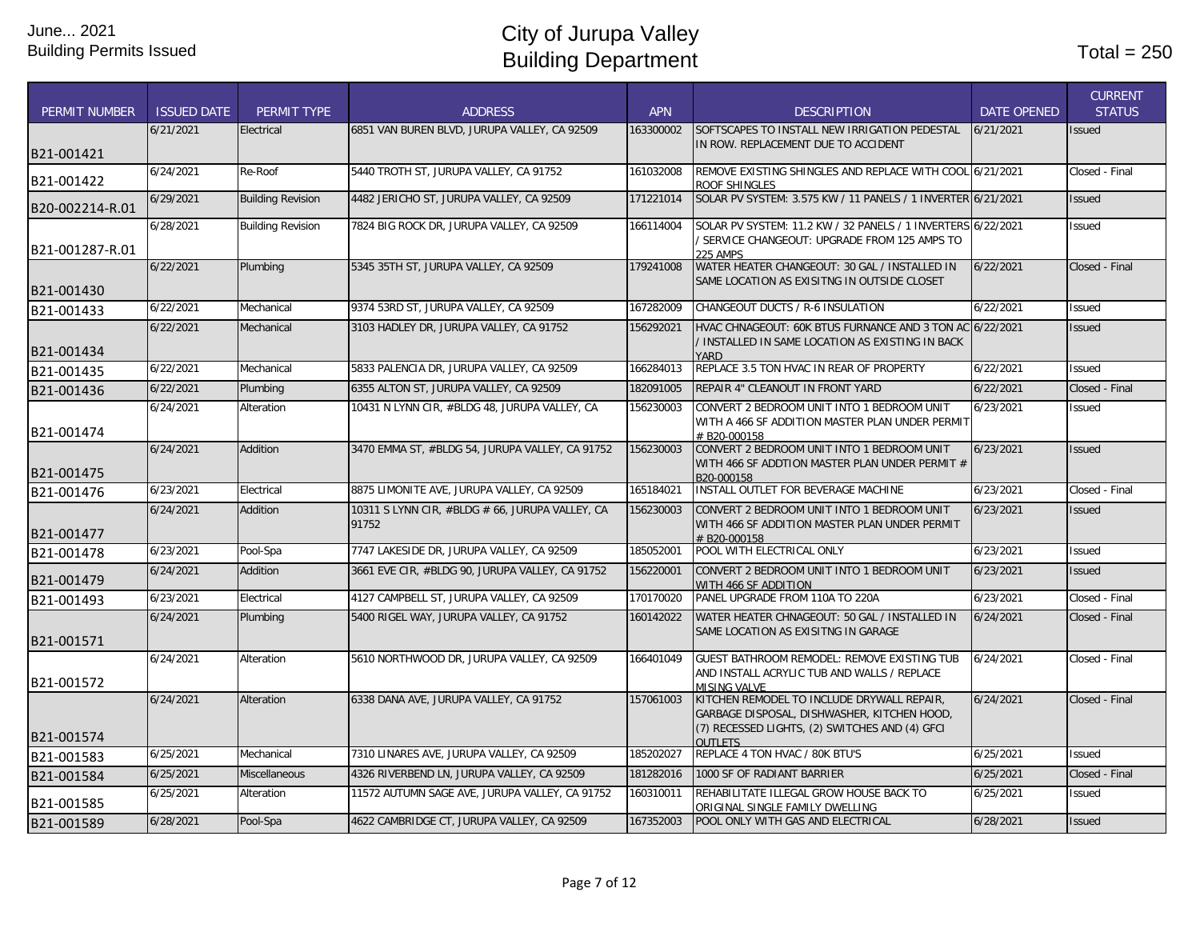| <b>PERMIT NUMBER</b> | <b>ISSUED DATE</b> | PERMIT TYPE              | <b>ADDRESS</b>                                  | <b>APN</b> | <b>DESCRIPTION</b>                                                                            | <b>DATE OPENED</b> | <b>CURRENT</b><br><b>STATUS</b> |
|----------------------|--------------------|--------------------------|-------------------------------------------------|------------|-----------------------------------------------------------------------------------------------|--------------------|---------------------------------|
|                      | 6/21/2021          | Electrical               | 6851 VAN BUREN BLVD, JURUPA VALLEY, CA 92509    | 163300002  | SOFTSCAPES TO INSTALL NEW IRRIGATION PEDESTAL                                                 | 6/21/2021          | <b>Issued</b>                   |
| B21-001421           |                    |                          |                                                 |            | IN ROW. REPLACEMENT DUE TO ACCIDENT                                                           |                    |                                 |
| B21-001422           | 6/24/2021          | Re-Roof                  | 5440 TROTH ST, JURUPA VALLEY, CA 91752          | 161032008  | REMOVE EXISTING SHINGLES AND REPLACE WITH COOL 6/21/2021<br><b>ROOF SHINGLES</b>              |                    | Closed - Final                  |
| B20-002214-R.01      | 6/29/2021          | <b>Building Revision</b> | 4482 JERICHO ST, JURUPA VALLEY, CA 92509        | 171221014  | SOLAR PV SYSTEM: 3.575 KW / 11 PANELS / 1 INVERTER 6/21/2021                                  |                    | <b>Issued</b>                   |
|                      | 6/28/2021          | <b>Building Revision</b> | 7824 BIG ROCK DR, JURUPA VALLEY, CA 92509       | 166114004  | SOLAR PV SYSTEM: 11.2 KW / 32 PANELS / 1 INVERTERS 6/22/2021                                  |                    | <b>Issued</b>                   |
| B21-001287-R.01      |                    |                          |                                                 |            | SERVICE CHANGEOUT: UPGRADE FROM 125 AMPS TO<br><b>225 AMPS</b>                                |                    |                                 |
|                      | 6/22/2021          | Plumbing                 | 5345 35TH ST, JURUPA VALLEY, CA 92509           | 179241008  | WATER HEATER CHANGEOUT: 30 GAL / INSTALLED IN                                                 | 6/22/2021          | Closed - Final                  |
| B21-001430           |                    |                          |                                                 |            | SAME LOCATION AS EXISITNG IN OUTSIDE CLOSET                                                   |                    |                                 |
| B21-001433           | 6/22/2021          | Mechanical               | 9374 53RD ST, JURUPA VALLEY, CA 92509           | 167282009  | CHANGEOUT DUCTS / R-6 INSULATION                                                              | 6/22/2021          | <b>Issued</b>                   |
|                      | 6/22/2021          | Mechanical               | 3103 HADLEY DR, JURUPA VALLEY, CA 91752         | 156292021  | HVAC CHNAGEOUT: 60K BTUS FURNANCE AND 3 TON AC 6/22/2021                                      |                    | <b>Issued</b>                   |
| B21-001434           |                    |                          |                                                 |            | INSTALLED IN SAME LOCATION AS EXISTING IN BACK<br><b>YARD</b>                                 |                    |                                 |
| B21-001435           | 6/22/2021          | Mechanical               | 5833 PALENCIA DR, JURUPA VALLEY, CA 92509       | 166284013  | REPLACE 3.5 TON HVAC IN REAR OF PROPERTY                                                      | 6/22/2021          | <b>Issued</b>                   |
| B21-001436           | 6/22/2021          | Plumbing                 | 6355 ALTON ST. JURUPA VALLEY. CA 92509          | 182091005  | REPAIR 4" CLEANOUT IN FRONT YARD                                                              | 6/22/2021          | Closed - Final                  |
|                      | 6/24/2021          | Alteration               | 10431 N LYNN CIR, #BLDG 48, JURUPA VALLEY, CA   | 156230003  | CONVERT 2 BEDROOM UNIT INTO 1 BEDROOM UNIT<br>WITH A 466 SF ADDITION MASTER PLAN UNDER PERMIT | 6/23/2021          | <b>Issued</b>                   |
| B21-001474           | 6/24/2021          |                          | 3470 EMMA ST, #BLDG 54, JURUPA VALLEY, CA 91752 | 156230003  | # B20-000158<br>CONVERT 2 BEDROOM UNIT INTO 1 BEDROOM UNIT                                    | 6/23/2021          |                                 |
| B21-001475           |                    | Addition                 |                                                 |            | WITH 466 SF ADDTION MASTER PLAN UNDER PERMIT #<br>B20-000158                                  |                    | <b>Issued</b>                   |
| B21-001476           | 6/23/2021          | Electrical               | 8875 LIMONITE AVE, JURUPA VALLEY, CA 92509      | 165184021  | INSTALL OUTLET FOR BEVERAGE MACHINE                                                           | 6/23/2021          | Closed - Final                  |
|                      | 6/24/2021          | Addition                 | 10311 S LYNN CIR, #BLDG # 66, JURUPA VALLEY, CA | 156230003  | CONVERT 2 BEDROOM UNIT INTO 1 BEDROOM UNIT                                                    | 6/23/2021          | <b>Issued</b>                   |
| B21-001477           |                    |                          | 91752                                           |            | WITH 466 SF ADDITION MASTER PLAN UNDER PERMIT<br># B20-000158                                 |                    |                                 |
| B21-001478           | 6/23/2021          | Pool-Spa                 | 7747 LAKESIDE DR, JURUPA VALLEY, CA 92509       | 185052001  | POOL WITH ELECTRICAL ONLY                                                                     | 6/23/2021          | <b>Issued</b>                   |
| B21-001479           | 6/24/2021          | Addition                 | 3661 EVE CIR, #BLDG 90, JURUPA VALLEY, CA 91752 | 156220001  | CONVERT 2 BEDROOM UNIT INTO 1 BEDROOM UNIT<br>WITH 466 SF ADDITION                            | 6/23/2021          | <b>Issued</b>                   |
| B21-001493           | 6/23/2021          | Electrical               | 4127 CAMPBELL ST, JURUPA VALLEY, CA 92509       | 170170020  | PANEL UPGRADE FROM 110A TO 220A                                                               | 6/23/2021          | Closed - Final                  |
|                      | 6/24/2021          | Plumbing                 | 5400 RIGEL WAY, JURUPA VALLEY, CA 91752         | 160142022  | WATER HEATER CHNAGEOUT: 50 GAL / INSTALLED IN                                                 | 6/24/2021          | Closed - Final                  |
| B21-001571           |                    |                          |                                                 |            | SAME LOCATION AS EXISITNG IN GARAGE                                                           |                    |                                 |
|                      | 6/24/2021          | Alteration               | 5610 NORTHWOOD DR, JURUPA VALLEY, CA 92509      | 166401049  | GUEST BATHROOM REMODEL: REMOVE EXISTING TUB                                                   | 6/24/2021          | Closed - Final                  |
| B21-001572           |                    |                          |                                                 |            | AND INSTALL ACRYLIC TUB AND WALLS / REPLACE<br>MISING VALVE                                   |                    |                                 |
|                      | 6/24/2021          | Alteration               | 6338 DANA AVE, JURUPA VALLEY, CA 91752          | 157061003  | KITCHEN REMODEL TO INCLUDE DRYWALL REPAIR,                                                    | 6/24/2021          | Closed - Final                  |
|                      |                    |                          |                                                 |            | GARBAGE DISPOSAL, DISHWASHER, KITCHEN HOOD,                                                   |                    |                                 |
| B21-001574           |                    |                          |                                                 |            | (7) RECESSED LIGHTS, (2) SWITCHES AND (4) GFCI<br><b>OUTLETS</b>                              |                    |                                 |
| B21-001583           | 6/25/2021          | Mechanical               | 7310 LINARES AVE, JURUPA VALLEY, CA 92509       | 185202027  | REPLACE 4 TON HVAC / 80K BTU'S                                                                | 6/25/2021          | <b>Issued</b>                   |
| B21-001584           | 6/25/2021          | Miscellaneous            | 4326 RIVERBEND LN, JURUPA VALLEY, CA 92509      | 181282016  | 1000 SF OF RADIANT BARRIER                                                                    | 6/25/2021          | Closed - Final                  |
| B21-001585           | 6/25/2021          | Alteration               | 11572 AUTUMN SAGE AVE, JURUPA VALLEY, CA 91752  | 160310011  | REHABILITATE ILLEGAL GROW HOUSE BACK TO<br>ORIGINAL SINGLE FAMILY DWELLING                    | 6/25/2021          | <b>Issued</b>                   |
| B21-001589           | 6/28/2021          | Pool-Spa                 | 4622 CAMBRIDGE CT, JURUPA VALLEY, CA 92509      | 167352003  | POOL ONLY WITH GAS AND ELECTRICAL                                                             | 6/28/2021          | <b>Issued</b>                   |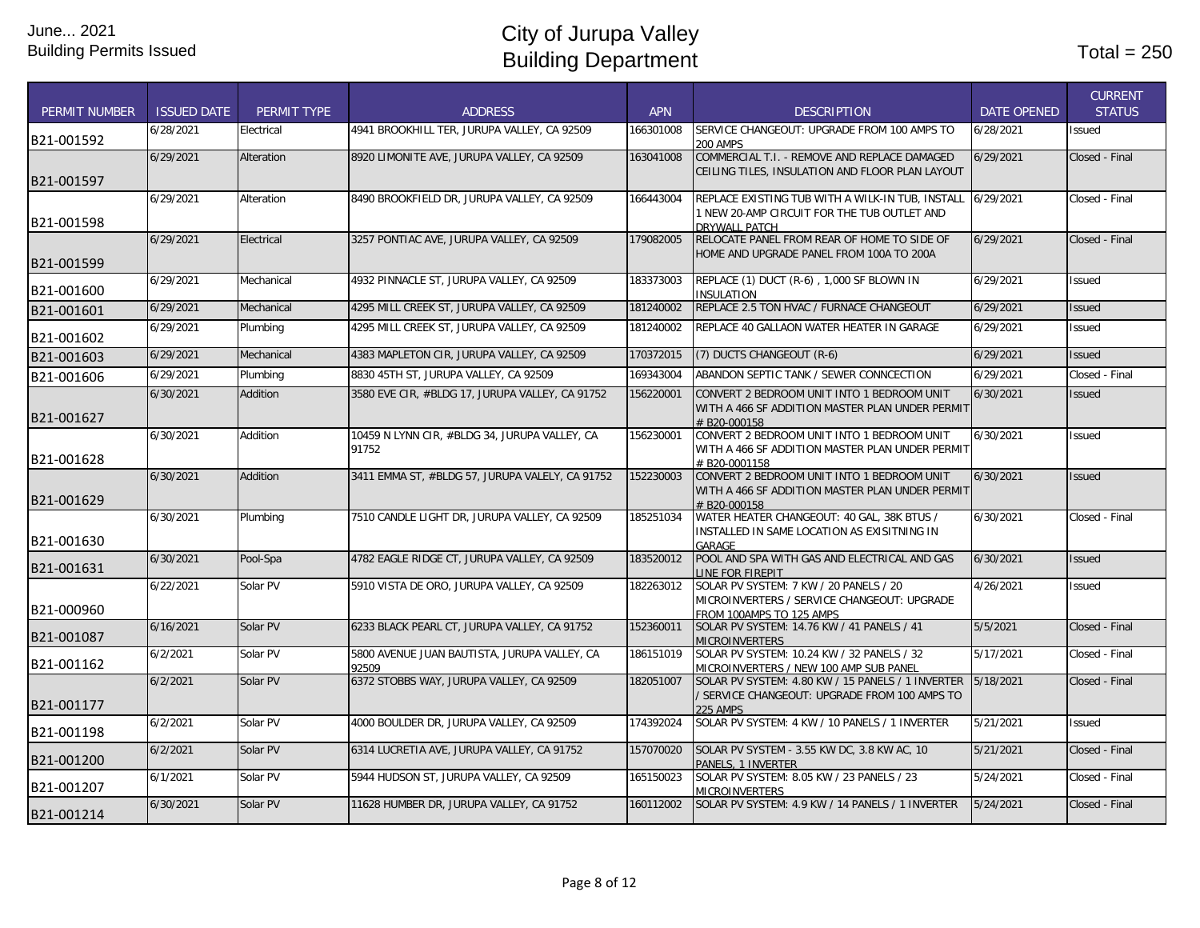| <b>PERMIT NUMBER</b> | <b>ISSUED DATE</b> | PERMIT TYPE | <b>ADDRESS</b>                                         | <b>APN</b> | <b>DESCRIPTION</b>                                                                                                  | <b>DATE OPENED</b>     | <b>CURRENT</b><br><b>STATUS</b> |
|----------------------|--------------------|-------------|--------------------------------------------------------|------------|---------------------------------------------------------------------------------------------------------------------|------------------------|---------------------------------|
| B21-001592           | 6/28/2021          | Electrical  | 4941 BROOKHILL TER. JURUPA VALLEY. CA 92509            | 166301008  | SERVICE CHANGEOUT: UPGRADE FROM 100 AMPS TO<br><b>200 AMPS</b>                                                      | 6/28/2021              | Issued                          |
| B21-001597           | 6/29/2021          | Alteration  | 8920 LIMONITE AVE, JURUPA VALLEY, CA 92509             | 163041008  | COMMERCIAL T.I. - REMOVE AND REPLACE DAMAGED<br>CEILING TILES, INSULATION AND FLOOR PLAN LAYOUT                     | 6/29/2021              | Closed - Final                  |
| B21-001598           | 6/29/2021          | Alteration  | 8490 BROOKFIELD DR, JURUPA VALLEY, CA 92509            | 166443004  | REPLACE EXISTING TUB WITH A WILK-IN TUB, INSTALL<br>1 NEW 20-AMP CIRCUIT FOR THE TUB OUTLET AND<br>DRYWALL PATCH    | 6/29/2021              | Closed - Final                  |
| B21-001599           | 6/29/2021          | Electrical  | 3257 PONTIAC AVE, JURUPA VALLEY, CA 92509              | 179082005  | RELOCATE PANEL FROM REAR OF HOME TO SIDE OF<br>HOME AND UPGRADE PANEL FROM 100A TO 200A                             | 6/29/2021              | Closed - Final                  |
| B21-001600           | 6/29/2021          | Mechanical  | 4932 PINNACLE ST, JURUPA VALLEY, CA 92509              | 183373003  | REPLACE (1) DUCT (R-6), 1,000 SF BLOWN IN<br><b>INSULATION</b>                                                      | 6/29/2021              | <b>Issued</b>                   |
| B21-001601           | 6/29/2021          | Mechanical  | 4295 MILL CREEK ST, JURUPA VALLEY, CA 92509            | 181240002  | REPLACE 2.5 TON HVAC / FURNACE CHANGEOUT                                                                            | $\overline{6/29/2021}$ | <b>Issued</b>                   |
| B21-001602           | 6/29/2021          | Plumbing    | 4295 MILL CREEK ST, JURUPA VALLEY, CA 92509            | 181240002  | REPLACE 40 GALLAON WATER HEATER IN GARAGE                                                                           | 6/29/2021              | Issued                          |
| B21-001603           | 6/29/2021          | Mechanical  | 4383 MAPLETON CIR. JURUPA VALLEY. CA 92509             | 170372015  | (7) DUCTS CHANGEOUT (R-6)                                                                                           | 6/29/2021              | <b>Issued</b>                   |
| B21-001606           | 6/29/2021          | Plumbing    | 8830 45TH ST, JURUPA VALLEY, CA 92509                  | 169343004  | ABANDON SEPTIC TANK / SEWER CONNCECTION                                                                             | 6/29/2021              | Closed - Final                  |
| B21-001627           | 6/30/2021          | Addition    | 3580 EVE CIR, #BLDG 17, JURUPA VALLEY, CA 91752        | 156220001  | CONVERT 2 BEDROOM UNIT INTO 1 BEDROOM UNIT<br>WITH A 466 SF ADDITION MASTER PLAN UNDER PERMIT<br># B20-000158       | 6/30/2021              | <b>Issued</b>                   |
| B21-001628           | 6/30/2021          | Addition    | 10459 N LYNN CIR, #BLDG 34, JURUPA VALLEY, CA<br>91752 | 156230001  | CONVERT 2 BEDROOM UNIT INTO 1 BEDROOM UNIT<br>WITH A 466 SF ADDITION MASTER PLAN UNDER PERMIT<br># B20-0001158      | 6/30/2021              | Issued                          |
| B21-001629           | 6/30/2021          | Addition    | 3411 EMMA ST, #BLDG 57, JURUPA VALELY, CA 91752        | 152230003  | CONVERT 2 BEDROOM UNIT INTO 1 BEDROOM UNIT<br>WITH A 466 SF ADDITION MASTER PLAN UNDER PERMIT<br># B20-000158       | 6/30/2021              | <b>Issued</b>                   |
| B21-001630           | 6/30/2021          | Plumbing    | 7510 CANDLE LIGHT DR, JURUPA VALLEY, CA 92509          | 185251034  | WATER HEATER CHANGEOUT: 40 GAL, 38K BTUS /<br>INSTALLED IN SAME LOCATION AS EXISITNING IN<br>GARAGE                 | 6/30/2021              | Closed - Final                  |
| B21-001631           | 6/30/2021          | Pool-Spa    | 4782 EAGLE RIDGE CT, JURUPA VALLEY, CA 92509           | 183520012  | POOL AND SPA WITH GAS AND ELECTRICAL AND GAS<br>LINE FOR FIREPIT                                                    | 6/30/2021              | Issued                          |
| B21-000960           | 6/22/2021          | Solar PV    | 5910 VISTA DE ORO, JURUPA VALLEY, CA 92509             | 182263012  | SOLAR PV SYSTEM: 7 KW / 20 PANELS / 20<br>MICROINVERTERS / SERVICE CHANGEOUT: UPGRADE<br>FROM 100AMPS TO 125 AMPS   | 4/26/2021              | Issued                          |
| B21-001087           | 6/16/2021          | Solar PV    | 6233 BLACK PEARL CT, JURUPA VALLEY, CA 91752           | 152360011  | SOLAR PV SYSTEM: 14.76 KW / 41 PANELS / 41<br><b>MICROINVERTERS</b>                                                 | 5/5/2021               | Closed - Final                  |
| B21-001162           | 6/2/2021           | Solar PV    | 5800 AVENUE JUAN BAUTISTA, JURUPA VALLEY, CA<br>92509  | 186151019  | SOLAR PV SYSTEM: 10.24 KW / 32 PANELS / 32<br>MICROINVERTERS / NEW 100 AMP SUB PANEL                                | 5/17/2021              | Closed - Final                  |
| B21-001177           | 6/2/2021           | Solar PV    | 6372 STOBBS WAY, JURUPA VALLEY, CA 92509               | 182051007  | SOLAR PV SYSTEM: 4.80 KW / 15 PANELS / 1 INVERTER<br>SERVICE CHANGEOUT: UPGRADE FROM 100 AMPS TO<br><b>225 AMPS</b> | 5/18/2021              | Closed - Final                  |
| B21-001198           | 6/2/2021           | Solar PV    | 4000 BOULDER DR, JURUPA VALLEY, CA 92509               | 174392024  | SOLAR PV SYSTEM: 4 KW / 10 PANELS / 1 INVERTER                                                                      | 5/21/2021              | <b>Issued</b>                   |
| B21-001200           | 6/2/2021           | Solar PV    | 6314 LUCRETIA AVE, JURUPA VALLEY, CA 91752             | 157070020  | SOLAR PV SYSTEM - 3.55 KW DC, 3.8 KW AC, 10<br>PANELS, 1 INVERTER                                                   | 5/21/2021              | Closed - Final                  |
| IB21-001207          | 6/1/2021           | Solar PV    | 5944 HUDSON ST, JURUPA VALLEY, CA 92509                | 165150023  | SOLAR PV SYSTEM: 8.05 KW / 23 PANELS / 23<br><b>MICROINVERTERS</b>                                                  | 5/24/2021              | Closed - Final                  |
| B21-001214           | 6/30/2021          | Solar PV    | 11628 HUMBER DR, JURUPA VALLEY, CA 91752               | 160112002  | SOLAR PV SYSTEM: 4.9 KW / 14 PANELS / 1 INVERTER                                                                    | 5/24/2021              | Closed - Final                  |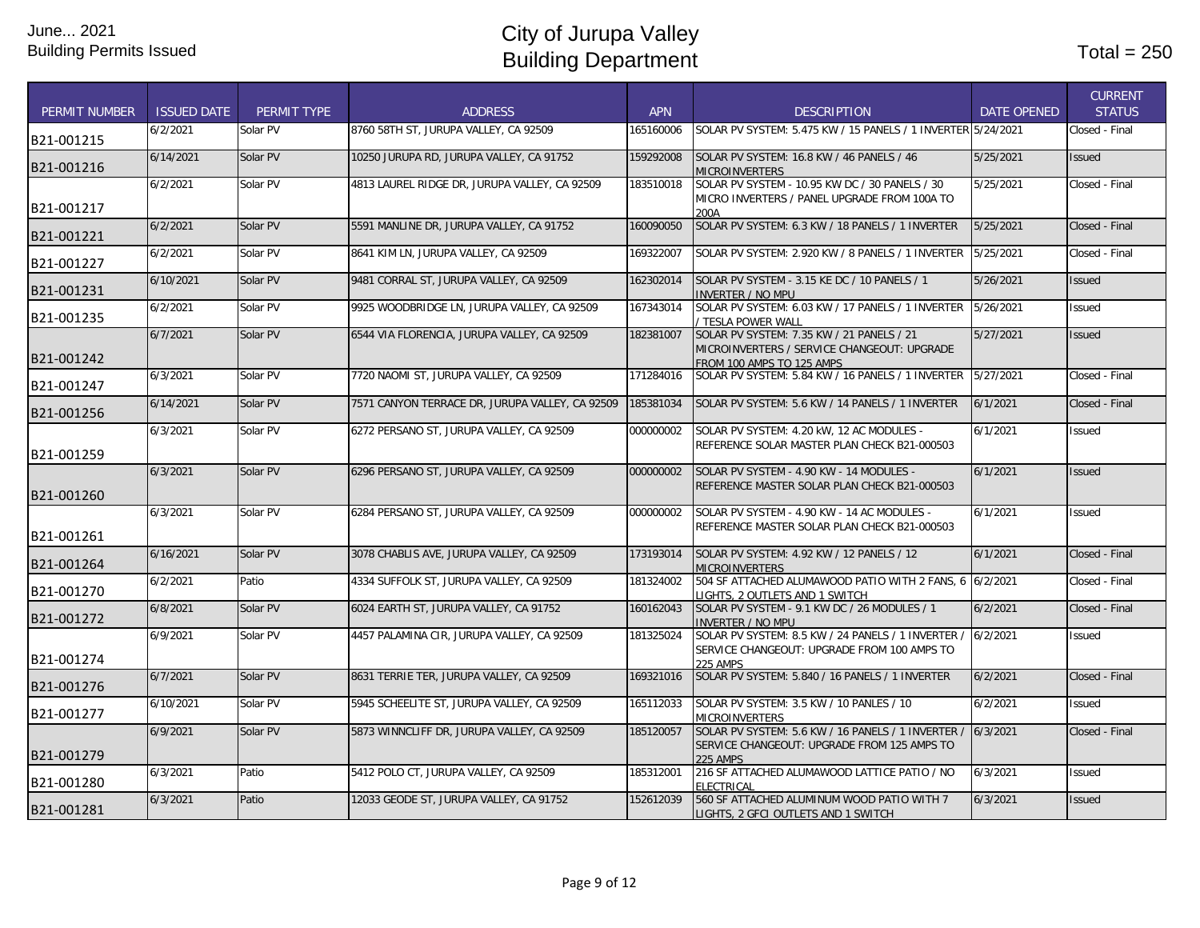|                      |                    |             |                                                 |            |                                                                                                                       |                    | <b>CURRENT</b> |
|----------------------|--------------------|-------------|-------------------------------------------------|------------|-----------------------------------------------------------------------------------------------------------------------|--------------------|----------------|
| <b>PERMIT NUMBER</b> | <b>ISSUED DATE</b> | PERMIT TYPE | <b>ADDRESS</b>                                  | <b>APN</b> | <b>DESCRIPTION</b>                                                                                                    | <b>DATE OPENED</b> | <b>STATUS</b>  |
| B21-001215           | 6/2/2021           | Solar PV    | 8760 58TH ST, JURUPA VALLEY, CA 92509           | 165160006  | SOLAR PV SYSTEM: 5.475 KW / 15 PANELS / 1 INVERTER 5/24/2021                                                          |                    | Closed - Final |
| B21-001216           | 6/14/2021          | Solar PV    | 10250 JURUPA RD, JURUPA VALLEY, CA 91752        | 159292008  | SOLAR PV SYSTEM: 16.8 KW / 46 PANELS / 46<br><b>MICROINVERTERS</b>                                                    | 5/25/2021          | Issued         |
| B21-001217           | 6/2/2021           | Solar PV    | 4813 LAUREL RIDGE DR, JURUPA VALLEY, CA 92509   | 183510018  | SOLAR PV SYSTEM - 10.95 KW DC / 30 PANELS / 30<br>MICRO INVERTERS / PANEL UPGRADE FROM 100A TO<br>200A                | 5/25/2021          | Closed - Final |
| B21-001221           | 6/2/2021           | Solar PV    | 5591 MANLINE DR, JURUPA VALLEY, CA 91752        | 160090050  | SOLAR PV SYSTEM: 6.3 KW / 18 PANELS / 1 INVERTER                                                                      | 5/25/2021          | Closed - Final |
| B21-001227           | 6/2/2021           | Solar PV    | 8641 KIM LN, JURUPA VALLEY, CA 92509            | 169322007  | SOLAR PV SYSTEM: 2.920 KW / 8 PANELS / 1 INVERTER 5/25/2021                                                           |                    | Closed - Final |
| B21-001231           | 6/10/2021          | Solar PV    | 9481 CORRAL ST, JURUPA VALLEY, CA 92509         | 162302014  | SOLAR PV SYSTEM - 3.15 KE DC / 10 PANELS / 1<br><b>INVERTER / NO MPU</b>                                              | 5/26/2021          | Issued         |
| B21-001235           | 6/2/2021           | Solar PV    | 9925 WOODBRIDGE LN, JURUPA VALLEY, CA 92509     | 167343014  | SOLAR PV SYSTEM: 6.03 KW / 17 PANELS / 1 INVERTER 5/26/2021<br>/ TESLA POWER WALI                                     |                    | Issued         |
| B21-001242           | 6/7/2021           | Solar PV    | 6544 VIA FLORENCIA, JURUPA VALLEY, CA 92509     | 182381007  | SOLAR PV SYSTEM: 7.35 KW / 21 PANELS / 21<br>MICROINVERTERS / SERVICE CHANGEOUT: UPGRADE<br>FROM 100 AMPS TO 125 AMPS | 5/27/2021          | Issued         |
| B21-001247           | 6/3/2021           | Solar PV    | 7720 NAOMI ST, JURUPA VALLEY, CA 92509          | 171284016  | SOLAR PV SYSTEM: 5.84 KW / 16 PANELS / 1 INVERTER                                                                     | 5/27/2021          | Closed - Final |
| B21-001256           | 6/14/2021          | Solar PV    | 7571 CANYON TERRACE DR, JURUPA VALLEY, CA 92509 | 185381034  | SOLAR PV SYSTEM: 5.6 KW / 14 PANELS / 1 INVERTER                                                                      | 6/1/2021           | Closed - Final |
| B21-001259           | 6/3/2021           | Solar PV    | 6272 PERSANO ST. JURUPA VALLEY. CA 92509        | 000000002  | SOLAR PV SYSTEM: 4.20 kW, 12 AC MODULES -<br>REFERENCE SOLAR MASTER PLAN CHECK B21-000503                             | 6/1/2021           | <b>Issued</b>  |
| B21-001260           | 6/3/2021           | Solar PV    | 6296 PERSANO ST, JURUPA VALLEY, CA 92509        | 000000002  | SOLAR PV SYSTEM - 4.90 KW - 14 MODULES -<br>REFERENCE MASTER SOLAR PLAN CHECK B21-000503                              | 6/1/2021           | <b>Issued</b>  |
| B21-001261           | 6/3/2021           | Solar PV    | 6284 PERSANO ST, JURUPA VALLEY, CA 92509        | 000000002  | SOLAR PV SYSTEM - 4.90 KW - 14 AC MODULES -<br>REFERENCE MASTER SOLAR PLAN CHECK B21-000503                           | 6/1/2021           | Issued         |
| B21-001264           | 6/16/2021          | Solar PV    | 3078 CHABLIS AVE, JURUPA VALLEY, CA 92509       | 173193014  | SOLAR PV SYSTEM: 4.92 KW / 12 PANELS / 12<br><b>MICROINVERTERS</b>                                                    | 6/1/2021           | Closed - Final |
| B21-001270           | 6/2/2021           | Patio       | 4334 SUFFOLK ST, JURUPA VALLEY, CA 92509        | 181324002  | 504 SF ATTACHED ALUMAWOOD PATIO WITH 2 FANS, 6 6/2/2021<br>LIGHTS, 2 OUTLETS AND 1 SWITCH                             |                    | Closed - Final |
| B21-001272           | 6/8/2021           | Solar PV    | 6024 EARTH ST, JURUPA VALLEY, CA 91752          | 160162043  | SOLAR PV SYSTEM - 9.1 KW DC / 26 MODULES / 1<br><b>INVERTER / NO MPU</b>                                              | 6/2/2021           | Closed - Final |
| B21-001274           | 6/9/2021           | Solar PV    | 4457 PALAMINA CIR, JURUPA VALLEY, CA 92509      | 181325024  | SOLAR PV SYSTEM: 8.5 KW / 24 PANELS / 1 INVERTER /<br>SERVICE CHANGEOUT: UPGRADE FROM 100 AMPS TO<br><b>225 AMPS</b>  | 6/2/2021           | Issued         |
| B21-001276           | 6/7/2021           | Solar PV    | 8631 TERRIE TER, JURUPA VALLEY, CA 92509        | 169321016  | SOLAR PV SYSTEM: 5.840 / 16 PANELS / 1 INVERTER                                                                       | 6/2/2021           | Closed - Final |
| B21-001277           | 6/10/2021          | Solar PV    | 5945 SCHEELITE ST, JURUPA VALLEY, CA 92509      | 165112033  | SOLAR PV SYSTEM: 3.5 KW / 10 PANLES / 10<br><b>MICROINVERTERS</b>                                                     | 6/2/2021           | Issued         |
| B21-001279           | 6/9/2021           | Solar PV    | 5873 WINNCLIFF DR, JURUPA VALLEY, CA 92509      | 185120057  | SOLAR PV SYSTEM: 5.6 KW / 16 PANELS / 1 INVERTER /<br>SERVICE CHANGEOUT: UPGRADE FROM 125 AMPS TO                     | 6/3/2021           | Closed - Final |
| B21-001280           | 6/3/2021           | Patio       | 5412 POLO CT, JURUPA VALLEY, CA 92509           | 185312001  | <b>225 AMPS</b><br>216 SF ATTACHED ALUMAWOOD LATTICE PATIO / NO                                                       | 6/3/2021           | Issued         |
| B21-001281           | 6/3/2021           | Patio       | 12033 GEODE ST, JURUPA VALLEY, CA 91752         | 152612039  | <b>ELECTRICAL</b><br>560 SF ATTACHED ALUMINUM WOOD PATIO WITH 7<br>LIGHTS, 2 GFCI OUTLETS AND 1 SWITCH                | 6/3/2021           | <b>Issued</b>  |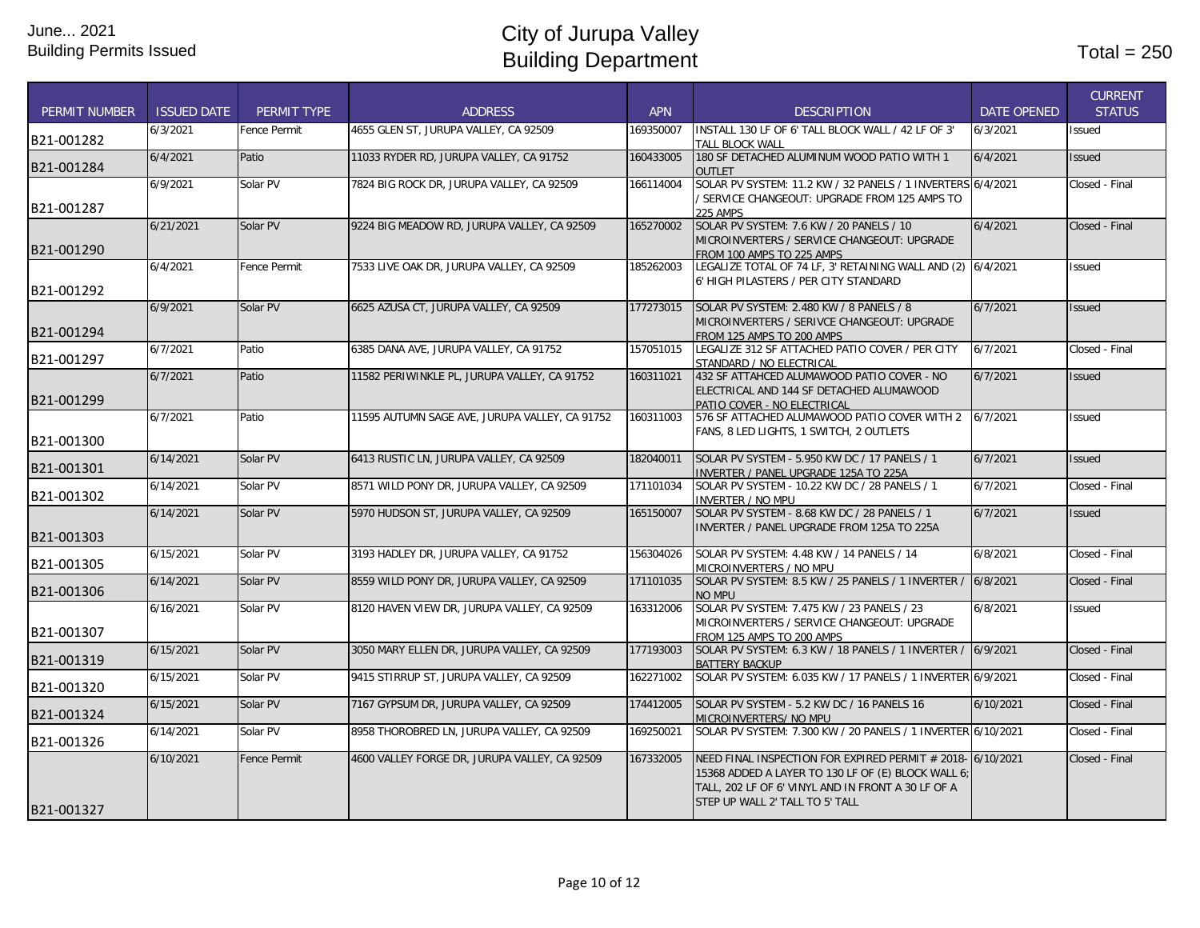| <b>PERMIT NUMBER</b> | <b>ISSUED DATE</b> | PERMIT TYPE         | <b>ADDRESS</b>                                 | <b>APN</b> | <b>DESCRIPTION</b>                                                                                                                                                                                        | <b>DATE OPENED</b> | <b>CURRENT</b><br><b>STATUS</b> |
|----------------------|--------------------|---------------------|------------------------------------------------|------------|-----------------------------------------------------------------------------------------------------------------------------------------------------------------------------------------------------------|--------------------|---------------------------------|
| B21-001282           | 6/3/2021           | Fence Permit        | 4655 GLEN ST. JURUPA VALLEY. CA 92509          | 169350007  | INSTALL 130 LF OF 6' TALL BLOCK WALL / 42 LF OF 3'<br>TALL BLOCK WALL                                                                                                                                     | 6/3/2021           | Issued                          |
| B21-001284           | 6/4/2021           | Patio               | 11033 RYDER RD, JURUPA VALLEY, CA 91752        | 160433005  | 180 SF DETACHED ALUMINUM WOOD PATIO WITH 1<br><b>OUTLET</b>                                                                                                                                               | 6/4/2021           | <b>Issued</b>                   |
| B21-001287           | 6/9/2021           | Solar PV            | 7824 BIG ROCK DR, JURUPA VALLEY, CA 92509      | 166114004  | SOLAR PV SYSTEM: 11.2 KW / 32 PANELS / 1 INVERTERS 6/4/2021<br>/ SERVICE CHANGEOUT: UPGRADE FROM 125 AMPS TO<br><b>225 AMPS</b>                                                                           |                    | Closed - Final                  |
| B21-001290           | 6/21/2021          | Solar PV            | 9224 BIG MEADOW RD, JURUPA VALLEY, CA 92509    | 165270002  | SOLAR PV SYSTEM: 7.6 KW / 20 PANELS / 10<br>MICROINVERTERS / SERVICE CHANGEOUT: UPGRADE<br>FROM 100 AMPS TO 225 AMPS                                                                                      | 6/4/2021           | Closed - Final                  |
| B21-001292           | 6/4/2021           | <b>Fence Permit</b> | 7533 LIVE OAK DR. JURUPA VALLEY. CA 92509      | 185262003  | LEGALIZE TOTAL OF 74 LF, 3' RETAINING WALL AND (2) 6/4/2021<br>6' HIGH PILASTERS / PER CITY STANDARD                                                                                                      |                    | <b>Issued</b>                   |
| B21-001294           | 6/9/2021           | Solar PV            | 6625 AZUSA CT, JURUPA VALLEY, CA 92509         | 177273015  | SOLAR PV SYSTEM: 2.480 KW / 8 PANELS / 8<br>MICROINVERTERS / SERIVCE CHANGEOUT: UPGRADE<br>FROM 125 AMPS TO 200 AMPS                                                                                      | 6/7/2021           | <b>Issued</b>                   |
| B21-001297           | 6/7/2021           | Patio               | 6385 DANA AVE, JURUPA VALLEY, CA 91752         | 157051015  | LEGALIZE 312 SF ATTACHED PATIO COVER / PER CITY<br>STANDARD / NO ELECTRICAL                                                                                                                               | 6/7/2021           | Closed - Final                  |
| B21-001299           | 6/7/2021           | Patio               | 11582 PERIWINKLE PL, JURUPA VALLEY, CA 91752   | 160311021  | 432 SF ATTAHCED ALUMAWOOD PATIO COVER - NO<br>ELECTRICAL AND 144 SF DETACHED ALUMAWOOD<br>PATIO COVER - NO ELECTRICAL                                                                                     | 6/7/2021           | <b>Issued</b>                   |
| B21-001300           | 6/7/2021           | Patio               | 11595 AUTUMN SAGE AVE, JURUPA VALLEY, CA 91752 | 160311003  | 576 SF ATTACHED ALUMAWOOD PATIO COVER WITH 2<br>FANS, 8 LED LIGHTS, 1 SWITCH, 2 OUTLETS                                                                                                                   | 6/7/2021           | Issued                          |
| B21-001301           | 6/14/2021          | Solar PV            | 6413 RUSTIC LN, JURUPA VALLEY, CA 92509        | 182040011  | SOLAR PV SYSTEM - 5.950 KW DC / 17 PANELS / 1<br>INVERTER / PANEL UPGRADE 125A TO 225A                                                                                                                    | 6/7/2021           | <b>Issued</b>                   |
| B21-001302           | 6/14/2021          | Solar PV            | 8571 WILD PONY DR, JURUPA VALLEY, CA 92509     | 171101034  | SOLAR PV SYSTEM - 10.22 KW DC / 28 PANELS / 1<br><b>INVERTER / NO MPU</b>                                                                                                                                 | 6/7/2021           | Closed - Final                  |
| B21-001303           | 6/14/2021          | Solar PV            | 5970 HUDSON ST, JURUPA VALLEY, CA 92509        | 165150007  | SOLAR PV SYSTEM - 8.68 KW DC / 28 PANELS / 1<br>INVERTER / PANEL UPGRADE FROM 125A TO 225A                                                                                                                | 6/7/2021           | <b>Issued</b>                   |
| B21-001305           | 6/15/2021          | Solar PV            | 3193 HADLEY DR, JURUPA VALLEY, CA 91752        | 156304026  | SOLAR PV SYSTEM: 4.48 KW / 14 PANELS / 14<br>MICROINVERTERS / NO MPU                                                                                                                                      | 6/8/2021           | Closed - Final                  |
| B21-001306           | 6/14/2021          | Solar PV            | 8559 WILD PONY DR, JURUPA VALLEY, CA 92509     | 171101035  | SOLAR PV SYSTEM: 8.5 KW / 25 PANELS / 1 INVERTER /<br>NO MPU                                                                                                                                              | 6/8/2021           | Closed - Final                  |
| B21-001307           | 6/16/2021          | Solar PV            | 8120 HAVEN VIEW DR, JURUPA VALLEY, CA 92509    | 163312006  | SOLAR PV SYSTEM: 7.475 KW / 23 PANELS / 23<br>MICROINVERTERS / SERVICE CHANGEOUT: UPGRADE<br>FROM 125 AMPS TO 200 AMPS                                                                                    | 6/8/2021           | Issued                          |
| B21-001319           | 6/15/2021          | Solar PV            | 3050 MARY ELLEN DR, JURUPA VALLEY, CA 92509    | 177193003  | SOLAR PV SYSTEM: 6.3 KW / 18 PANELS / 1 INVERTER /<br><b>BATTERY BACKUP</b>                                                                                                                               | 6/9/2021           | Closed - Final                  |
| B21-001320           | 6/15/2021          | Solar PV            | 9415 STIRRUP ST, JURUPA VALLEY, CA 92509       | 162271002  | SOLAR PV SYSTEM: 6.035 KW / 17 PANELS / 1 INVERTER 6/9/2021                                                                                                                                               |                    | Closed - Final                  |
| B21-001324           | 6/15/2021          | Solar PV            | 7167 GYPSUM DR, JURUPA VALLEY, CA 92509        | 174412005  | SOLAR PV SYSTEM - 5.2 KW DC / 16 PANELS 16<br>MICROINVERTERS/ NO MPU                                                                                                                                      | 6/10/2021          | Closed - Final                  |
| B21-001326           | 6/14/2021          | Solar PV            | 8958 THOROBRED LN, JURUPA VALLEY, CA 92509     | 169250021  | SOLAR PV SYSTEM: 7.300 KW / 20 PANELS / 1 INVERTER 6/10/2021                                                                                                                                              |                    | Closed - Final                  |
| B21-001327           | 6/10/2021          | <b>Fence Permit</b> | 4600 VALLEY FORGE DR, JURUPA VALLEY, CA 92509  | 167332005  | NEED FINAL INSPECTION FOR EXPIRED PERMIT # 2018- 6/10/2021<br>15368 ADDED A LAYER TO 130 LF OF (E) BLOCK WALL 6;<br>TALL, 202 LF OF 6' VINYL AND IN FRONT A 30 LF OF A<br>STEP UP WALL 2' TALL TO 5' TALL |                    | Closed - Final                  |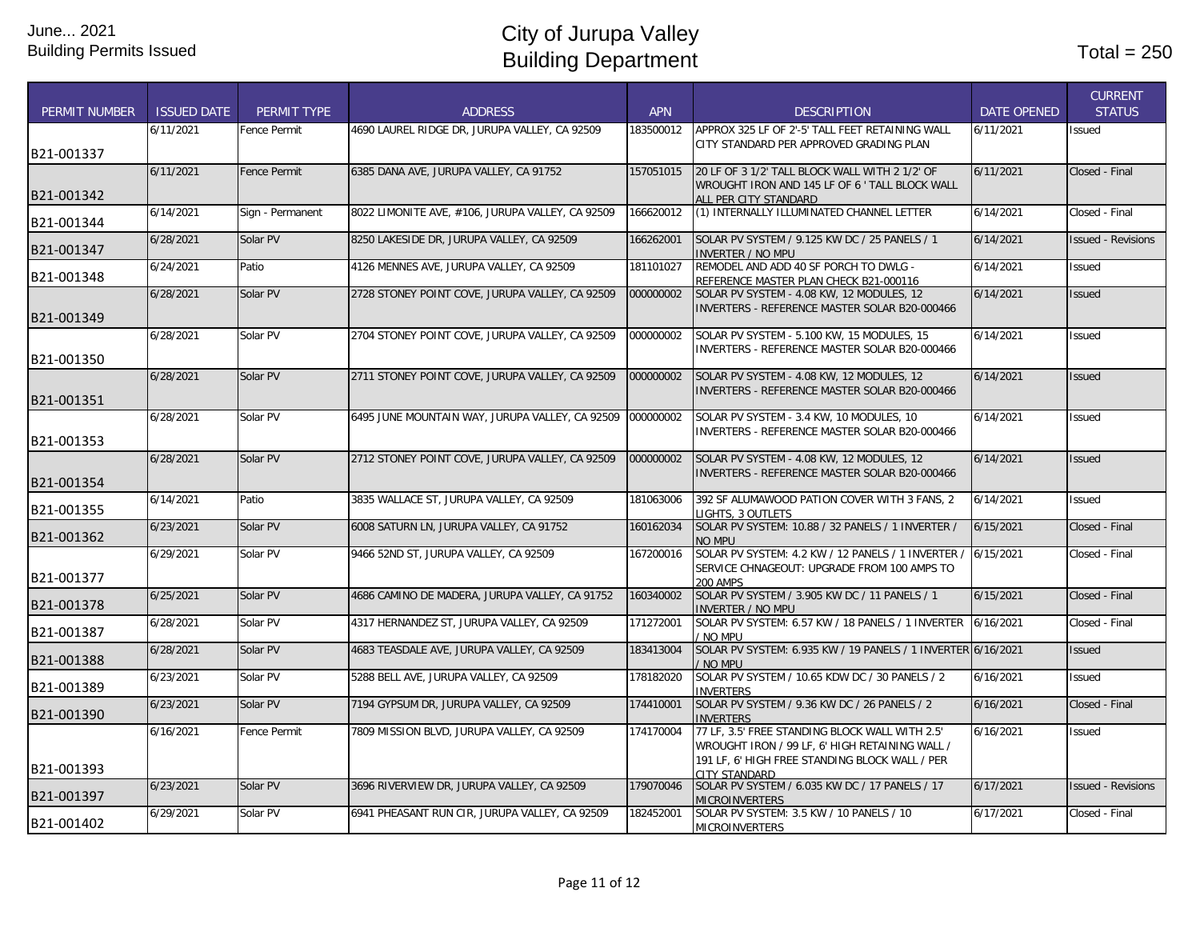| <b>PERMIT NUMBER</b> | <b>ISSUED DATE</b> | PERMIT TYPE         | <b>ADDRESS</b>                                   | <b>APN</b> | <b>DESCRIPTION</b>                                                              | <b>DATE OPENED</b> | <b>CURRENT</b><br><b>STATUS</b> |
|----------------------|--------------------|---------------------|--------------------------------------------------|------------|---------------------------------------------------------------------------------|--------------------|---------------------------------|
|                      | 6/11/2021          | Fence Permit        | 4690 LAUREL RIDGE DR, JURUPA VALLEY, CA 92509    | 183500012  | APPROX 325 LF OF 2'-5' TALL FEET RETAINING WALL                                 | 6/11/2021          | Issued                          |
| B21-001337           |                    |                     |                                                  |            | CITY STANDARD PER APPROVED GRADING PLAN                                         |                    |                                 |
|                      | 6/11/2021          | <b>Fence Permit</b> | 6385 DANA AVE, JURUPA VALLEY, CA 91752           | 157051015  | 20 LF OF 3 1/2' TALL BLOCK WALL WITH 2 1/2' OF                                  | 6/11/2021          | Closed - Final                  |
| B21-001342           |                    |                     |                                                  |            | WROUGHT IRON AND 145 LF OF 6 ' TALL BLOCK WALL<br>ALL PER CITY STANDARD         |                    |                                 |
| B21-001344           | 6/14/2021          | Sign - Permanent    | 8022 LIMONITE AVE, #106, JURUPA VALLEY, CA 92509 | 166620012  | (1) INTERNALLY ILLUMINATED CHANNEL LETTER                                       | 6/14/2021          | Closed - Final                  |
| B21-001347           | 6/28/2021          | Solar PV            | 8250 LAKESIDE DR, JURUPA VALLEY, CA 92509        | 166262001  | SOLAR PV SYSTEM / 9.125 KW DC / 25 PANELS / 1<br><b>INVERTER / NO MPU</b>       | 6/14/2021          | <b>Issued - Revisions</b>       |
| B21-001348           | 6/24/2021          | Patio               | 4126 MENNES AVE, JURUPA VALLEY, CA 92509         | 181101027  | REMODEL AND ADD 40 SF PORCH TO DWLG -<br>REFERENCE MASTER PLAN CHECK B21-000116 | 6/14/2021          | <b>Issued</b>                   |
|                      | 6/28/2021          | Solar PV            | 2728 STONEY POINT COVE, JURUPA VALLEY, CA 92509  | 000000002  | SOLAR PV SYSTEM - 4.08 KW, 12 MODULES, 12                                       | 6/14/2021          | <b>Issued</b>                   |
| B21-001349           |                    |                     |                                                  |            | INVERTERS - REFERENCE MASTER SOLAR B20-000466                                   |                    |                                 |
|                      | 6/28/2021          | Solar PV            | 2704 STONEY POINT COVE, JURUPA VALLEY, CA 92509  | 000000002  | SOLAR PV SYSTEM - 5.100 KW, 15 MODULES, 15                                      | 6/14/2021          | <b>Issued</b>                   |
| B21-001350           |                    |                     |                                                  |            | <b>INVERTERS - REFERENCE MASTER SOLAR B20-000466</b>                            |                    |                                 |
|                      | 6/28/2021          | Solar PV            | 2711 STONEY POINT COVE, JURUPA VALLEY, CA 92509  | 000000002  | SOLAR PV SYSTEM - 4.08 KW, 12 MODULES, 12                                       | 6/14/2021          | <b>Issued</b>                   |
| B21-001351           |                    |                     |                                                  |            | INVERTERS - REFERENCE MASTER SOLAR B20-000466                                   |                    |                                 |
|                      | 6/28/2021          | Solar PV            | 6495 JUNE MOUNTAIN WAY, JURUPA VALLEY, CA 92509  | 000000002  | SOLAR PV SYSTEM - 3.4 KW, 10 MODULES, 10                                        | 6/14/2021          | <b>Issued</b>                   |
| B21-001353           |                    |                     |                                                  |            | <b>INVERTERS - REFERENCE MASTER SOLAR B20-000466</b>                            |                    |                                 |
|                      | 6/28/2021          | Solar PV            | 2712 STONEY POINT COVE, JURUPA VALLEY, CA 92509  | 000000002  | SOLAR PV SYSTEM - 4.08 KW, 12 MODULES, 12                                       | 6/14/2021          | <b>Issued</b>                   |
| B21-001354           |                    |                     |                                                  |            | <b>INVERTERS - REFERENCE MASTER SOLAR B20-000466</b>                            |                    |                                 |
|                      | 6/14/2021          | Patio               | 3835 WALLACE ST, JURUPA VALLEY, CA 92509         | 181063006  | 392 SF ALUMAWOOD PATION COVER WITH 3 FANS, 2                                    | 6/14/2021          | <b>Issued</b>                   |
| B21-001355           | 6/23/2021          | Solar PV            | 6008 SATURN LN, JURUPA VALLEY, CA 91752          | 160162034  | LIGHTS, 3 OUTLETS<br>SOLAR PV SYSTEM: 10.88 / 32 PANELS / 1 INVERTER /          | 6/15/2021          | Closed - Final                  |
| B21-001362           |                    |                     |                                                  |            | NO MPU                                                                          |                    |                                 |
|                      | 6/29/2021          | Solar PV            | 9466 52ND ST, JURUPA VALLEY, CA 92509            | 167200016  | SOLAR PV SYSTEM: 4.2 KW / 12 PANELS / 1 INVERTER /                              | 6/15/2021          | Closed - Final                  |
| B21-001377           |                    |                     |                                                  |            | SERVICE CHNAGEOUT: UPGRADE FROM 100 AMPS TO<br><b>200 AMPS</b>                  |                    |                                 |
| B21-001378           | 6/25/2021          | Solar PV            | 4686 CAMINO DE MADERA, JURUPA VALLEY, CA 91752   | 160340002  | SOLAR PV SYSTEM / 3.905 KW DC / 11 PANELS / 1<br><b>INVERTER / NO MPU</b>       | 6/15/2021          | Closed - Final                  |
| B21-001387           | 6/28/2021          | Solar PV            | 4317 HERNANDEZ ST, JURUPA VALLEY, CA 92509       | 171272001  | SOLAR PV SYSTEM: 6.57 KW / 18 PANELS / 1 INVERTER<br>/ No mpu                   | 6/16/2021          | Closed - Final                  |
| B21-001388           | 6/28/2021          | Solar PV            | 4683 TEASDALE AVE, JURUPA VALLEY, CA 92509       | 183413004  | SOLAR PV SYSTEM: 6.935 KW / 19 PANELS / 1 INVERTER 6/16/2021<br>/ NO MPU        |                    | <b>Issued</b>                   |
| B21-001389           | 6/23/2021          | Solar PV            | 5288 BELL AVE, JURUPA VALLEY, CA 92509           | 178182020  | SOLAR PV SYSTEM / 10.65 KDW DC / 30 PANELS / 2<br><b>INVERTERS</b>              | 6/16/2021          | <b>Issued</b>                   |
| B21-001390           | 6/23/2021          | Solar PV            | 7194 GYPSUM DR, JURUPA VALLEY, CA 92509          | 174410001  | SOLAR PV SYSTEM / 9.36 KW DC / 26 PANELS / 2<br><b>INVERTERS</b>                | 6/16/2021          | Closed - Final                  |
|                      | 6/16/2021          | <b>Fence Permit</b> | 7809 MISSION BLVD, JURUPA VALLEY, CA 92509       | 174170004  | 77 LF, 3.5' FREE STANDING BLOCK WALL WITH 2.5'                                  | 6/16/2021          | <b>Issued</b>                   |
|                      |                    |                     |                                                  |            | WROUGHT IRON / 99 LF, 6' HIGH RETAINING WALL /                                  |                    |                                 |
| B21-001393           |                    |                     |                                                  |            | 191 LF, 6' HIGH FREE STANDING BLOCK WALL / PER<br>CITY STANDARD                 |                    |                                 |
| B21-001397           | 6/23/2021          | Solar PV            | 3696 RIVERVIEW DR, JURUPA VALLEY, CA 92509       | 179070046  | SOLAR PV SYSTEM / 6.035 KW DC / 17 PANELS / 17<br><b>MICROINVERTERS</b>         | 6/17/2021          | <b>Issued - Revisions</b>       |
|                      | 6/29/2021          | Solar PV            | 6941 PHEASANT RUN CIR, JURUPA VALLEY, CA 92509   | 182452001  | SOLAR PV SYSTEM: 3.5 KW / 10 PANELS / 10                                        | 6/17/2021          | Closed - Final                  |
| B21-001402           |                    |                     |                                                  |            | <b>MICROINVERTERS</b>                                                           |                    |                                 |